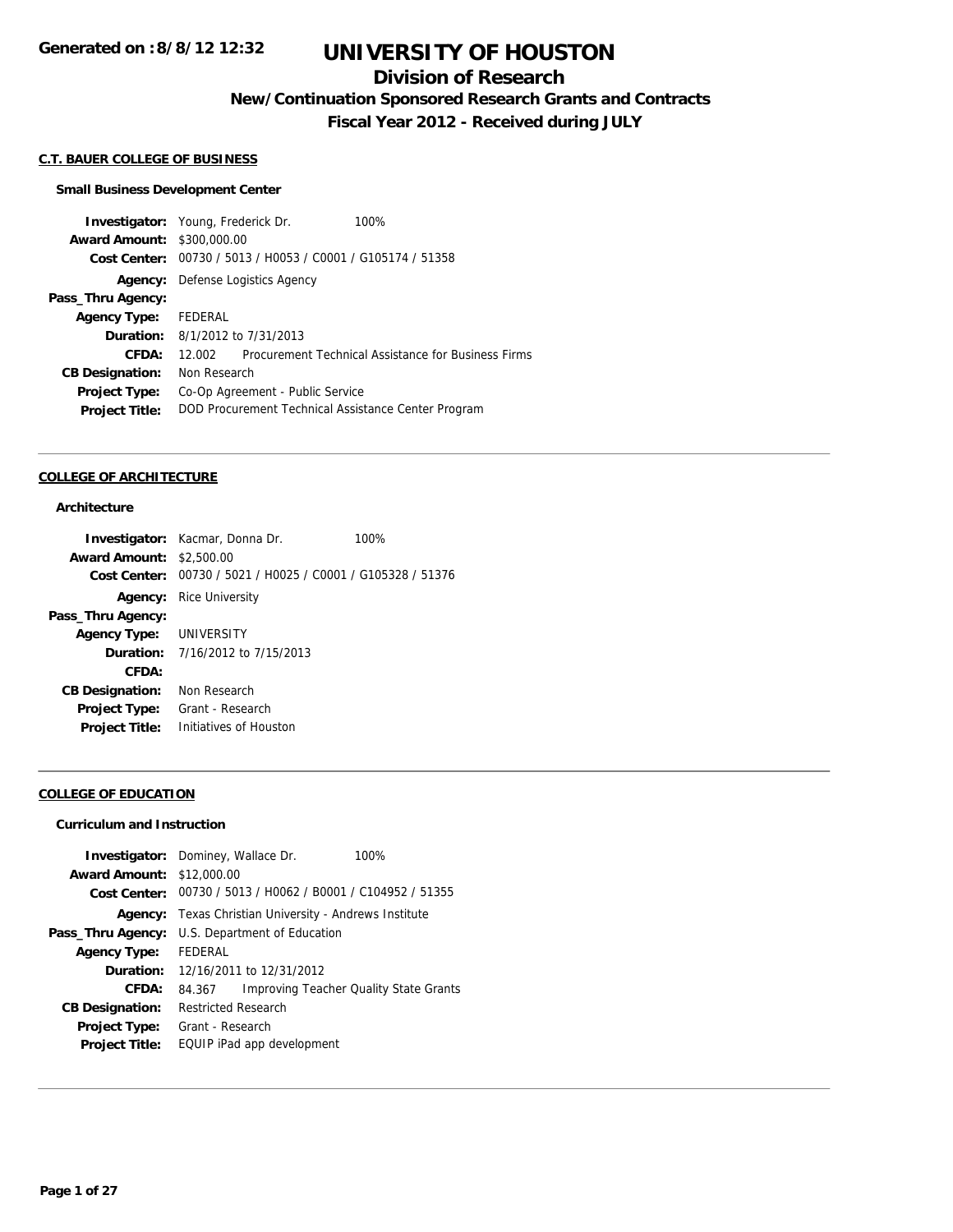## **Division of Research**

**New/Continuation Sponsored Research Grants and Contracts**

**Fiscal Year 2012 - Received during JULY**

#### **C.T. BAUER COLLEGE OF BUSINESS**

#### **Small Business Development Center**

**Investigator:** Young, Frederick Dr. 100% **Award Amount:** \$300,000.00 **Cost Center:** 00730 / 5013 / H0053 / C0001 / G105174 / 51358 **Agency:** Defense Logistics Agency **Pass\_Thru Agency: Agency Type:** FEDERAL **Duration:** 8/1/2012 to 7/31/2013 **CFDA:** 12.002 Procurement Technical Assistance for Business Firms **CB Designation:** Non Research **Project Type:** Co-Op Agreement - Public Service **Project Title:** DOD Procurement Technical Assistance Center Program

#### **COLLEGE OF ARCHITECTURE**

### **Architecture**

| <b>Investigator:</b> Kacmar, Donna Dr.                      | 100% |
|-------------------------------------------------------------|------|
| <b>Award Amount: \$2,500.00</b>                             |      |
| Cost Center: 00730 / 5021 / H0025 / C0001 / G105328 / 51376 |      |
| <b>Agency:</b> Rice University                              |      |
|                                                             |      |
| Agency Type: UNIVERSITY                                     |      |
| <b>Duration:</b> 7/16/2012 to 7/15/2013                     |      |
|                                                             |      |
| Non Research                                                |      |
| Grant - Research                                            |      |
| Initiatives of Houston                                      |      |
|                                                             |      |

### **COLLEGE OF EDUCATION**

#### **Curriculum and Instruction**

|                                  | <b>Investigator:</b> Dominey, Wallace Dr.      | 100%                                          |
|----------------------------------|------------------------------------------------|-----------------------------------------------|
| <b>Award Amount: \$12,000.00</b> |                                                |                                               |
| Cost Center:                     | 00730 / 5013 / H0062 / B0001 / C104952 / 51355 |                                               |
| Agency:                          | Texas Christian University - Andrews Institute |                                               |
| Pass_Thru Agency:                | U.S. Department of Education                   |                                               |
| <b>Agency Type:</b>              | FFDFRAL                                        |                                               |
|                                  | <b>Duration:</b> $12/16/2011$ to $12/31/2012$  |                                               |
| CFDA:                            | 84.367                                         | <b>Improving Teacher Quality State Grants</b> |
| <b>CB Designation:</b>           | <b>Restricted Research</b>                     |                                               |
| <b>Project Type:</b>             | Grant - Research                               |                                               |
| <b>Project Title:</b>            | EQUIP iPad app development                     |                                               |
|                                  |                                                |                                               |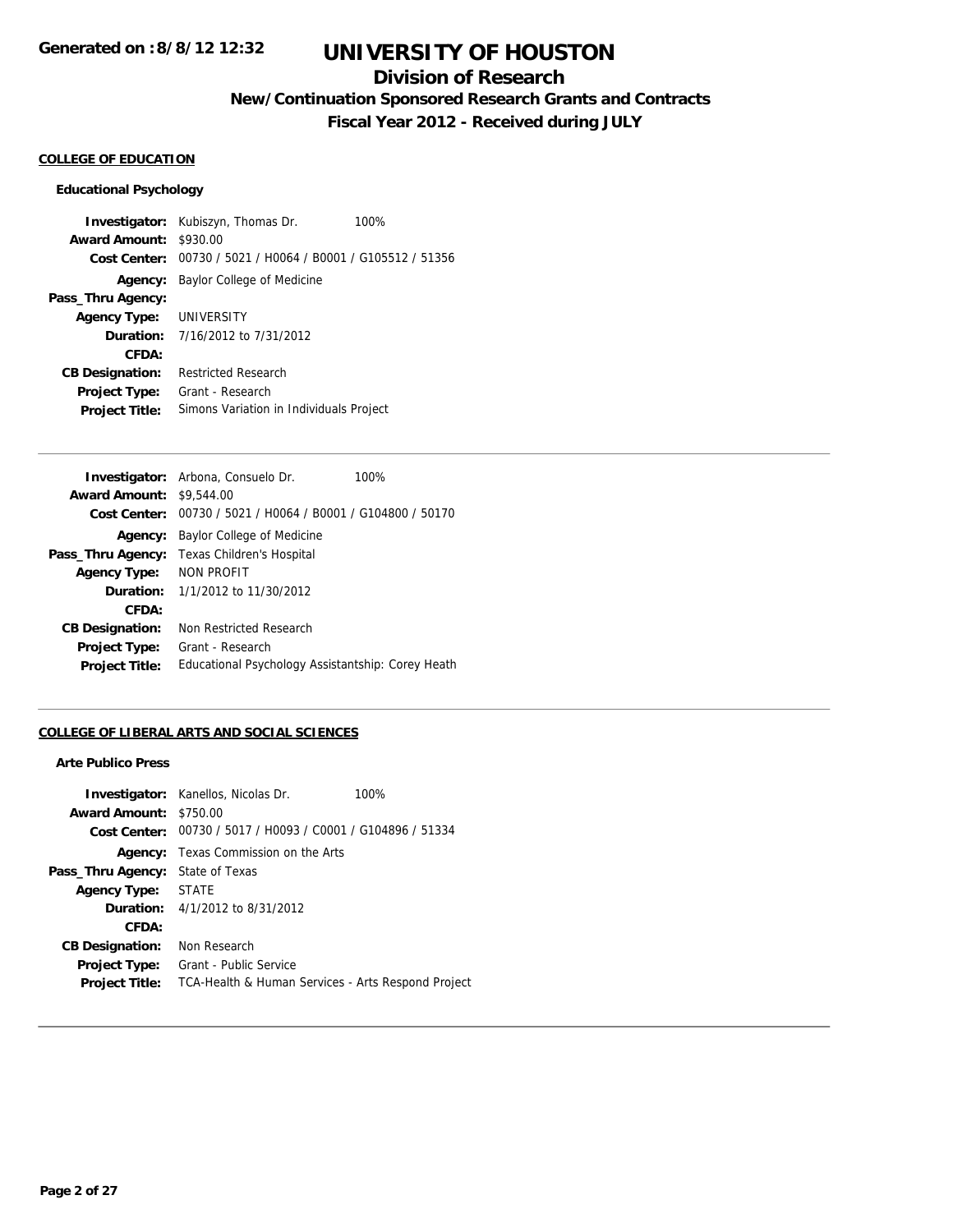## **Division of Research**

**New/Continuation Sponsored Research Grants and Contracts**

**Fiscal Year 2012 - Received during JULY**

## **COLLEGE OF EDUCATION**

#### **Educational Psychology**

**Investigator:** Kubiszyn, Thomas Dr. 100% **Award Amount:** \$930.00 **Cost Center:** 00730 / 5021 / H0064 / B0001 / G105512 / 51356 **Agency:** Baylor College of Medicine **Pass\_Thru Agency: Agency Type:** UNIVERSITY **Duration:** 7/16/2012 to 7/31/2012 **CFDA: CB Designation:** Restricted Research **Project Type:** Grant - Research **Project Title:** Simons Variation in Individuals Project

|                                 | <b>Investigator:</b> Arbona, Consuelo Dr.                   | 100% |
|---------------------------------|-------------------------------------------------------------|------|
| <b>Award Amount: \$9,544,00</b> |                                                             |      |
|                                 | Cost Center: 00730 / 5021 / H0064 / B0001 / G104800 / 50170 |      |
|                                 | <b>Agency:</b> Baylor College of Medicine                   |      |
| Pass_Thru Agency:               | Texas Children's Hospital                                   |      |
| <b>Agency Type:</b>             | NON PROFIT                                                  |      |
|                                 | <b>Duration:</b> $1/1/2012$ to $11/30/2012$                 |      |
| CFDA:                           |                                                             |      |
| <b>CB Designation:</b>          | Non Restricted Research                                     |      |
| <b>Project Type:</b>            | Grant - Research                                            |      |
| <b>Project Title:</b>           | Educational Psychology Assistantship: Corey Heath           |      |
|                                 |                                                             |      |

## **COLLEGE OF LIBERAL ARTS AND SOCIAL SCIENCES**

#### **Arte Publico Press**

|                        | <b>Investigator:</b> Kanellos, Nicolas Dr.                  | 100% |
|------------------------|-------------------------------------------------------------|------|
| <b>Award Amount:</b>   | \$750.00                                                    |      |
|                        | Cost Center: 00730 / 5017 / H0093 / C0001 / G104896 / 51334 |      |
| Agency:                | Texas Commission on the Arts                                |      |
| Pass_Thru Agency:      | State of Texas                                              |      |
| <b>Agency Type:</b>    | <b>STATE</b>                                                |      |
|                        | <b>Duration:</b> $4/1/2012$ to $8/31/2012$                  |      |
| CFDA:                  |                                                             |      |
| <b>CB Designation:</b> | Non Research                                                |      |
| <b>Project Type:</b>   | Grant - Public Service                                      |      |
| <b>Project Title:</b>  | TCA-Health & Human Services - Arts Respond Project          |      |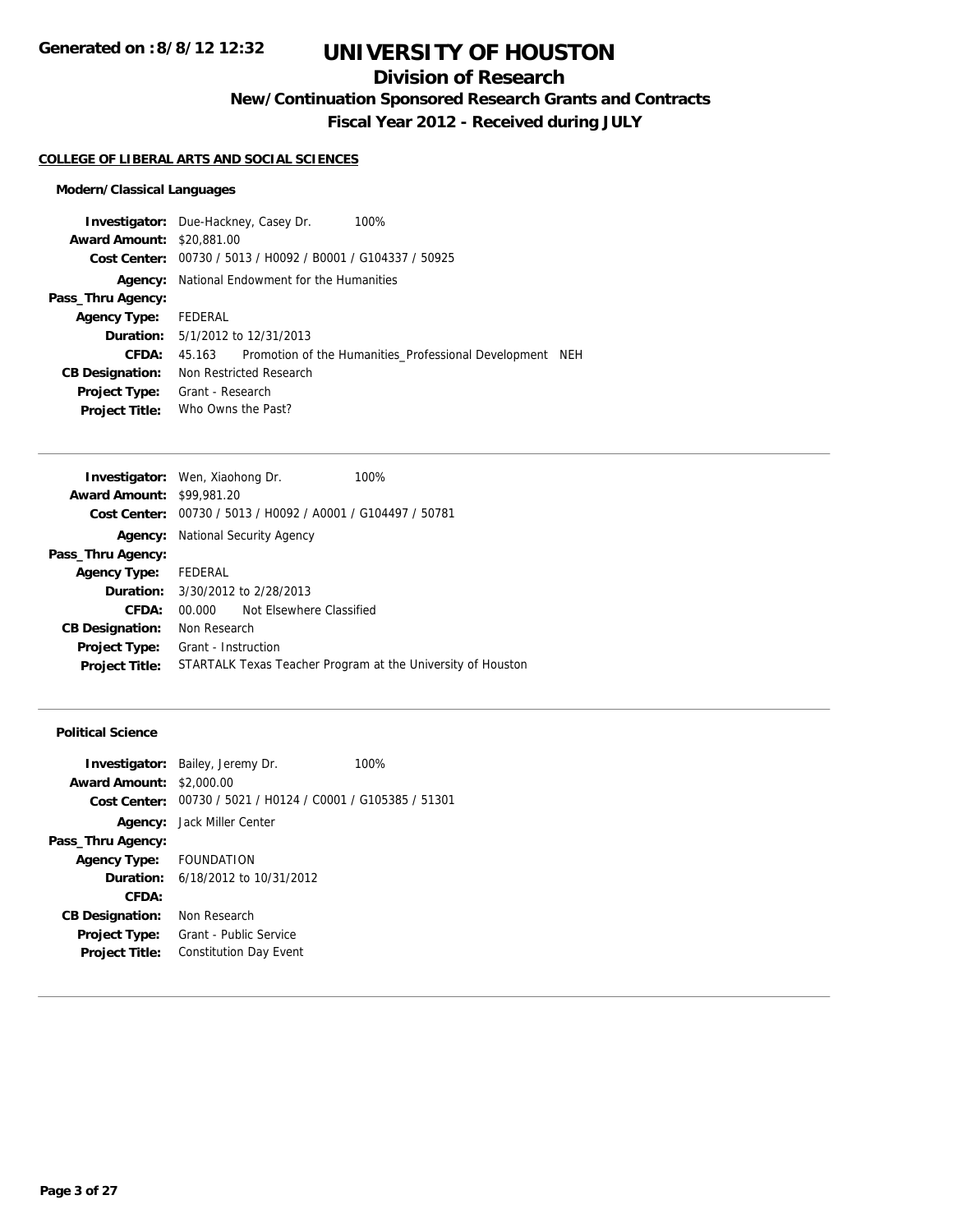## **Division of Research**

**New/Continuation Sponsored Research Grants and Contracts**

**Fiscal Year 2012 - Received during JULY**

#### **COLLEGE OF LIBERAL ARTS AND SOCIAL SCIENCES**

## **Modern/Classical Languages**

|                                  | <b>Investigator:</b> Due-Hackney, Casey Dr.<br>100%                |  |  |  |
|----------------------------------|--------------------------------------------------------------------|--|--|--|
| <b>Award Amount: \$20,881,00</b> |                                                                    |  |  |  |
|                                  | Cost Center: 00730 / 5013 / H0092 / B0001 / G104337 / 50925        |  |  |  |
| Agency:                          | National Endowment for the Humanities                              |  |  |  |
| Pass_Thru Agency:                |                                                                    |  |  |  |
| <b>Agency Type:</b>              | FEDERAL                                                            |  |  |  |
|                                  | <b>Duration:</b> 5/1/2012 to 12/31/2013                            |  |  |  |
| CFDA:                            | Promotion of the Humanities Professional Development NEH<br>45.163 |  |  |  |
| <b>CB Designation:</b>           | Non Restricted Research                                            |  |  |  |
| <b>Project Type:</b>             | Grant - Research                                                   |  |  |  |
| <b>Project Title:</b>            | Who Owns the Past?                                                 |  |  |  |
|                                  |                                                                    |  |  |  |

|                      |                          | 100%                                                                                                                                                                                                                                                    |
|----------------------|--------------------------|---------------------------------------------------------------------------------------------------------------------------------------------------------------------------------------------------------------------------------------------------------|
|                      |                          |                                                                                                                                                                                                                                                         |
|                      |                          |                                                                                                                                                                                                                                                         |
|                      |                          |                                                                                                                                                                                                                                                         |
|                      |                          |                                                                                                                                                                                                                                                         |
| Agency Type: FEDERAL |                          |                                                                                                                                                                                                                                                         |
|                      |                          |                                                                                                                                                                                                                                                         |
| 00.000               | Not Elsewhere Classified |                                                                                                                                                                                                                                                         |
|                      |                          |                                                                                                                                                                                                                                                         |
|                      |                          |                                                                                                                                                                                                                                                         |
|                      |                          | STARTALK Texas Teacher Program at the University of Houston                                                                                                                                                                                             |
|                      |                          | <b>Investigator:</b> Wen, Xiaohong Dr.<br><b>Award Amount: \$99,981.20</b><br>Cost Center: 00730 / 5013 / H0092 / A0001 / G104497 / 50781<br>National Security Agency<br><b>Duration:</b> 3/30/2012 to 2/28/2013<br>Non Research<br>Grant - Instruction |

## **Political Science**

|                                 | <b>Investigator:</b> Bailey, Jeremy Dr.                     | 100% |
|---------------------------------|-------------------------------------------------------------|------|
| <b>Award Amount: \$2,000.00</b> |                                                             |      |
|                                 | Cost Center: 00730 / 5021 / H0124 / C0001 / G105385 / 51301 |      |
|                                 | <b>Agency:</b> Jack Miller Center                           |      |
| Pass_Thru Agency:               |                                                             |      |
| Agency Type: FOUNDATION         |                                                             |      |
|                                 | <b>Duration:</b> 6/18/2012 to 10/31/2012                    |      |
| CFDA:                           |                                                             |      |
| <b>CB Designation:</b>          | Non Research                                                |      |
| <b>Project Type:</b>            | Grant - Public Service                                      |      |
| <b>Project Title:</b>           | <b>Constitution Day Event</b>                               |      |
|                                 |                                                             |      |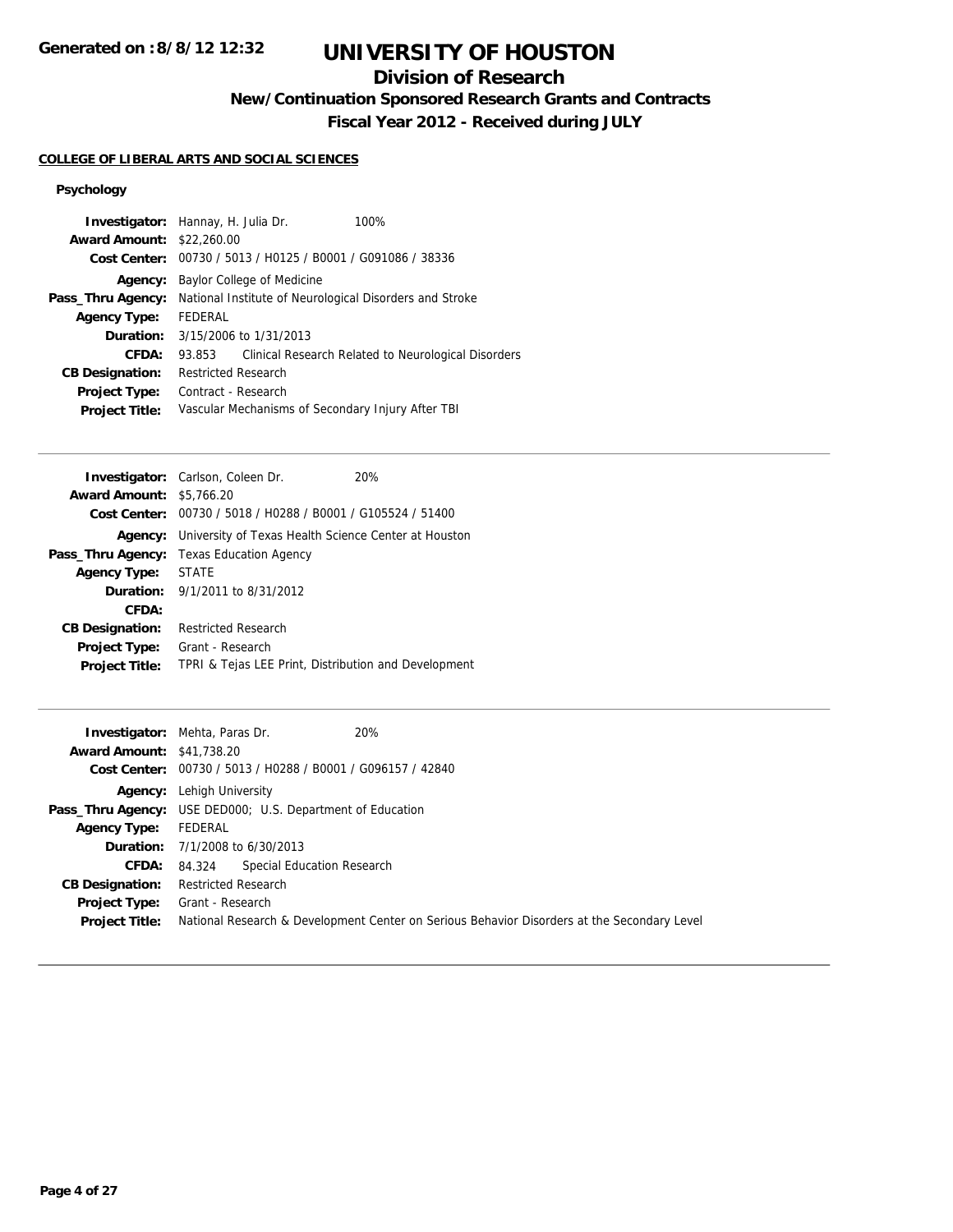# **Division of Research**

**New/Continuation Sponsored Research Grants and Contracts**

**Fiscal Year 2012 - Received during JULY**

## **COLLEGE OF LIBERAL ARTS AND SOCIAL SCIENCES**

## **Psychology**

|                                  | <b>Investigator:</b> Hannay, H. Julia Dr.               | 100%                                                |
|----------------------------------|---------------------------------------------------------|-----------------------------------------------------|
| <b>Award Amount: \$22,260.00</b> |                                                         |                                                     |
| Cost Center:                     | 00730 / 5013 / H0125 / B0001 / G091086 / 38336          |                                                     |
| Agency:                          | Baylor College of Medicine                              |                                                     |
| Pass_Thru Agency:                | National Institute of Neurological Disorders and Stroke |                                                     |
| <b>Agency Type:</b>              | <b>FEDERAL</b>                                          |                                                     |
| Duration:                        | 3/15/2006 to 1/31/2013                                  |                                                     |
| CFDA:                            | 93.853                                                  | Clinical Research Related to Neurological Disorders |
| <b>CB Designation:</b>           | <b>Restricted Research</b>                              |                                                     |
| <b>Project Type:</b>             | Contract - Research                                     |                                                     |
| <b>Project Title:</b>            | Vascular Mechanisms of Secondary Injury After TBI       |                                                     |

|                                 | <b>Investigator:</b> Carlson, Coleen Dr.                            | 20% |
|---------------------------------|---------------------------------------------------------------------|-----|
| <b>Award Amount: \$5,766.20</b> |                                                                     |     |
|                                 | Cost Center: 00730 / 5018 / H0288 / B0001 / G105524 / 51400         |     |
|                                 | <b>Agency:</b> University of Texas Health Science Center at Houston |     |
|                                 | <b>Pass_Thru Agency:</b> Texas Education Agency                     |     |
| Agency Type:                    | <b>STATE</b>                                                        |     |
|                                 | <b>Duration:</b> 9/1/2011 to 8/31/2012                              |     |
| CFDA:                           |                                                                     |     |
| <b>CB Designation:</b>          | <b>Restricted Research</b>                                          |     |
| <b>Project Type:</b>            | Grant - Research                                                    |     |
| <b>Project Title:</b>           | TPRI & Tejas LEE Print, Distribution and Development                |     |
|                                 |                                                                     |     |

| <b>Award Amount: \$41,738.20</b>       | <b>Investigator:</b> Mehta, Paras Dr.<br>20%<br>Cost Center: 00730 / 5013 / H0288 / B0001 / G096157 / 42840     |
|----------------------------------------|-----------------------------------------------------------------------------------------------------------------|
|                                        | <b>Agency:</b> Lehigh University<br><b>Pass_Thru Agency:</b> USE DED000; U.S. Department of Education           |
| <b>Agency Type:</b>                    | FEDERAL                                                                                                         |
| CFDA:                                  | <b>Duration:</b> $7/1/2008$ to $6/30/2013$<br>84.324 Special Education Research                                 |
| <b>CB Designation:</b>                 | Restricted Research                                                                                             |
| Project Type:<br><b>Project Title:</b> | Grant - Research<br>National Research & Development Center on Serious Behavior Disorders at the Secondary Level |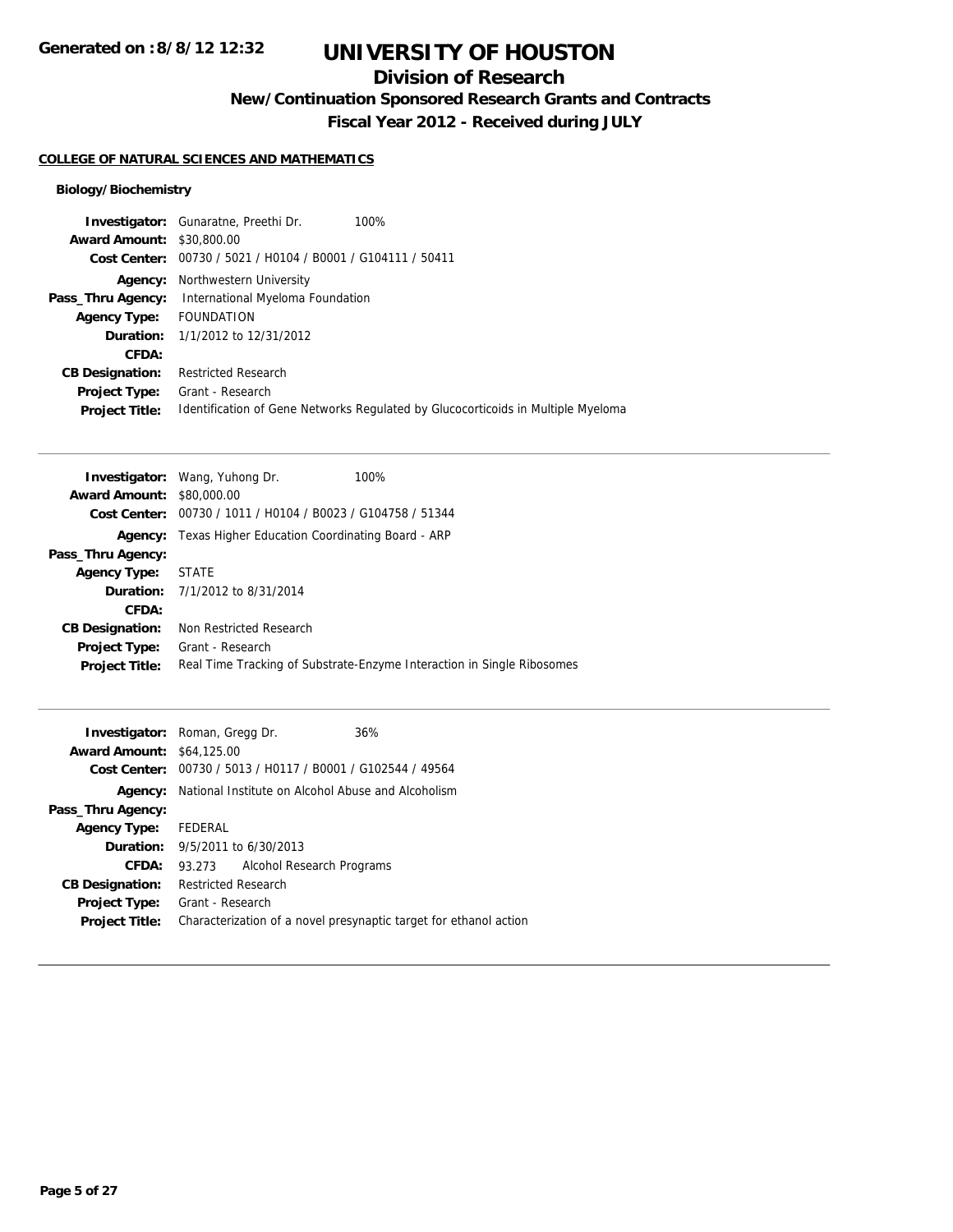## **Division of Research**

**New/Continuation Sponsored Research Grants and Contracts**

**Fiscal Year 2012 - Received during JULY**

### **COLLEGE OF NATURAL SCIENCES AND MATHEMATICS**

## **Biology/Biochemistry**

| <b>Investigator:</b> Gunaratne, Preethi Dr.<br>100%                              |
|----------------------------------------------------------------------------------|
| <b>Award Amount: \$30,800.00</b>                                                 |
| Cost Center: 00730 / 5021 / H0104 / B0001 / G104111 / 50411                      |
| Northwestern University                                                          |
| International Myeloma Foundation                                                 |
| FOUNDATION                                                                       |
| <b>Duration:</b> 1/1/2012 to 12/31/2012                                          |
|                                                                                  |
| <b>Restricted Research</b>                                                       |
| Grant - Research                                                                 |
| Identification of Gene Networks Regulated by Glucocorticoids in Multiple Myeloma |
|                                                                                  |

|                                  | 100%<br><b>Investigator:</b> Wang, Yuhong Dr.                          |
|----------------------------------|------------------------------------------------------------------------|
| <b>Award Amount: \$80,000.00</b> |                                                                        |
|                                  | Cost Center: 00730 / 1011 / H0104 / B0023 / G104758 / 51344            |
|                                  | <b>Agency:</b> Texas Higher Education Coordinating Board - ARP         |
| Pass_Thru Agency:                |                                                                        |
| <b>Agency Type:</b>              | <b>STATE</b>                                                           |
|                                  | <b>Duration:</b> 7/1/2012 to 8/31/2014                                 |
| CFDA:                            |                                                                        |
| <b>CB Designation:</b>           | Non Restricted Research                                                |
| Project Type:                    | Grant - Research                                                       |
| <b>Project Title:</b>            | Real Time Tracking of Substrate-Enzyme Interaction in Single Ribosomes |

|                                  | <b>Investigator:</b> Roman, Gregg Dr.                       | 36%                                                               |
|----------------------------------|-------------------------------------------------------------|-------------------------------------------------------------------|
| <b>Award Amount: \$64,125.00</b> |                                                             |                                                                   |
|                                  | Cost Center: 00730 / 5013 / H0117 / B0001 / G102544 / 49564 |                                                                   |
| Agency:                          | National Institute on Alcohol Abuse and Alcoholism          |                                                                   |
| Pass_Thru Agency:                |                                                             |                                                                   |
| <b>Agency Type:</b>              | FEDERAL                                                     |                                                                   |
| Duration:                        | 9/5/2011 to 6/30/2013                                       |                                                                   |
| CFDA:                            | Alcohol Research Programs<br>93.273                         |                                                                   |
| <b>CB Designation:</b>           | <b>Restricted Research</b>                                  |                                                                   |
| <b>Project Type:</b>             | Grant - Research                                            |                                                                   |
| <b>Project Title:</b>            |                                                             | Characterization of a novel presynaptic target for ethanol action |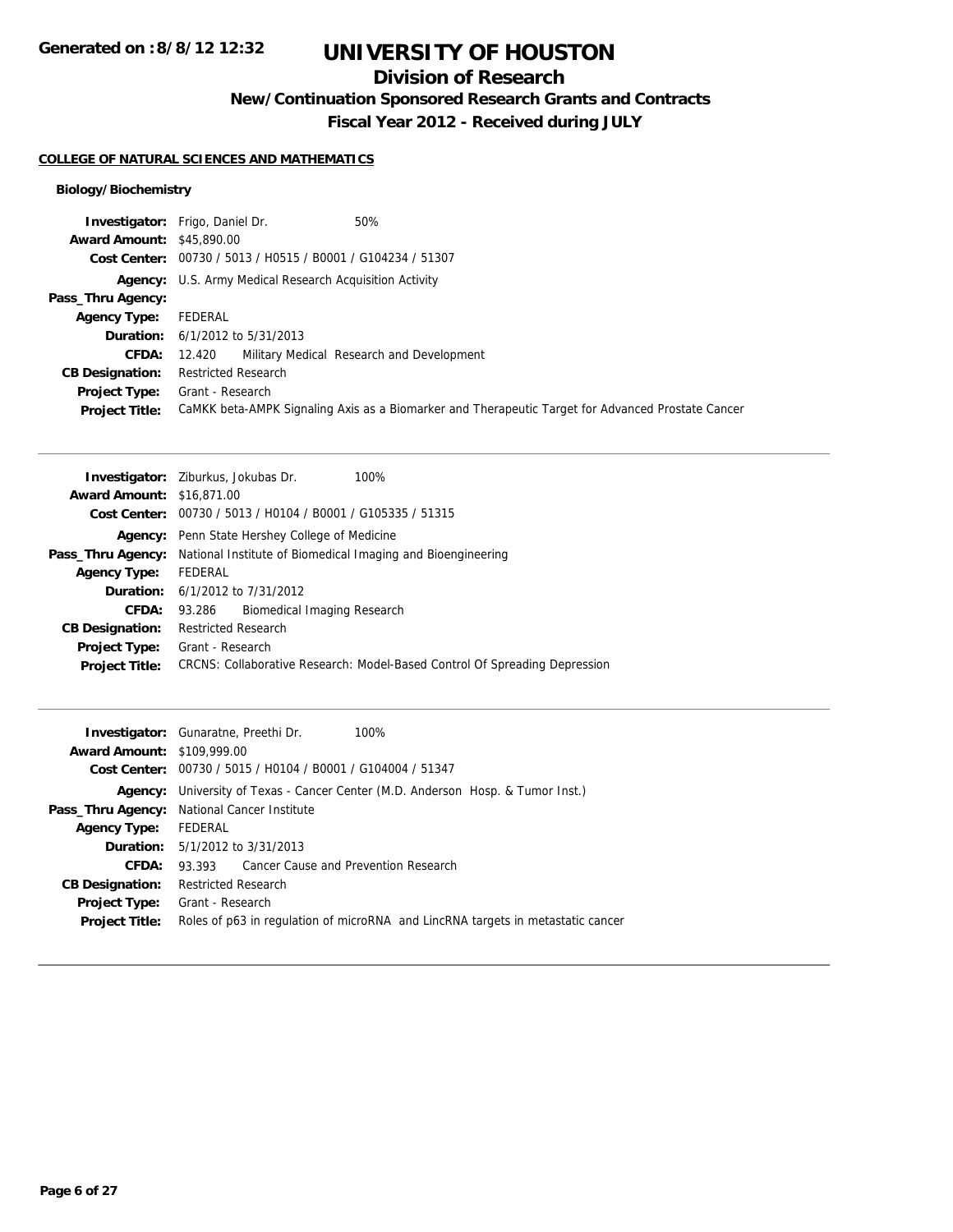# **Division of Research**

**New/Continuation Sponsored Research Grants and Contracts**

**Fiscal Year 2012 - Received during JULY**

## **COLLEGE OF NATURAL SCIENCES AND MATHEMATICS**

## **Biology/Biochemistry**

|                                  | 50%<br><b>Investigator:</b> Frigo, Daniel Dr.                                                     |  |  |
|----------------------------------|---------------------------------------------------------------------------------------------------|--|--|
| <b>Award Amount: \$45,890.00</b> |                                                                                                   |  |  |
|                                  | Cost Center: 00730 / 5013 / H0515 / B0001 / G104234 / 51307                                       |  |  |
|                                  | <b>Agency:</b> U.S. Army Medical Research Acquisition Activity                                    |  |  |
| Pass_Thru Agency:                |                                                                                                   |  |  |
| <b>Agency Type:</b>              | FEDERAL                                                                                           |  |  |
|                                  | <b>Duration:</b> $6/1/2012$ to $5/31/2013$                                                        |  |  |
| <b>CFDA:</b>                     | 12.420 Military Medical Research and Development                                                  |  |  |
| <b>CB Designation:</b>           | <b>Restricted Research</b>                                                                        |  |  |
|                                  | <b>Project Type:</b> Grant - Research                                                             |  |  |
| <b>Project Title:</b>            | CaMKK beta-AMPK Signaling Axis as a Biomarker and Therapeutic Target for Advanced Prostate Cancer |  |  |

|                                  | <b>Investigator:</b> Ziburkus, Jokubas Dr.<br>100%                         |  |  |
|----------------------------------|----------------------------------------------------------------------------|--|--|
| <b>Award Amount: \$16,871,00</b> |                                                                            |  |  |
|                                  | <b>Cost Center:</b> $00730 / 5013 / 40104 / 80001 / 6105335 / 51315$       |  |  |
|                                  | <b>Agency:</b> Penn State Hershey College of Medicine                      |  |  |
| Pass_Thru Agency:                | National Institute of Biomedical Imaging and Bioengineering                |  |  |
| <b>Agency Type:</b>              | FEDERAL                                                                    |  |  |
|                                  | <b>Duration:</b> 6/1/2012 to 7/31/2012                                     |  |  |
| <b>CFDA:</b>                     | Biomedical Imaging Research<br>93.286                                      |  |  |
| <b>CB Designation:</b>           | <b>Restricted Research</b>                                                 |  |  |
| Project Type:                    | Grant - Research                                                           |  |  |
| <b>Project Title:</b>            | CRCNS: Collaborative Research: Model-Based Control Of Spreading Depression |  |  |
|                                  |                                                                            |  |  |

|                                   | <b>Investigator:</b> Gunaratne, Preethi Dr.<br>100%                             |  |  |
|-----------------------------------|---------------------------------------------------------------------------------|--|--|
| <b>Award Amount: \$109,999.00</b> |                                                                                 |  |  |
|                                   | Cost Center: 00730 / 5015 / H0104 / B0001 / G104004 / 51347                     |  |  |
|                                   | Agency: University of Texas - Cancer Center (M.D. Anderson Hosp. & Tumor Inst.) |  |  |
|                                   | <b>Pass_Thru Agency:</b> National Cancer Institute                              |  |  |
| <b>Agency Type:</b>               | FEDERAL                                                                         |  |  |
|                                   | <b>Duration:</b> $5/1/2012$ to $3/31/2013$                                      |  |  |
| CFDA:                             | 93.393 Cancer Cause and Prevention Research                                     |  |  |
| <b>CB Designation:</b>            | <b>Restricted Research</b>                                                      |  |  |
| Project Type:                     | Grant - Research                                                                |  |  |
| <b>Project Title:</b>             | Roles of p63 in regulation of microRNA and LincRNA targets in metastatic cancer |  |  |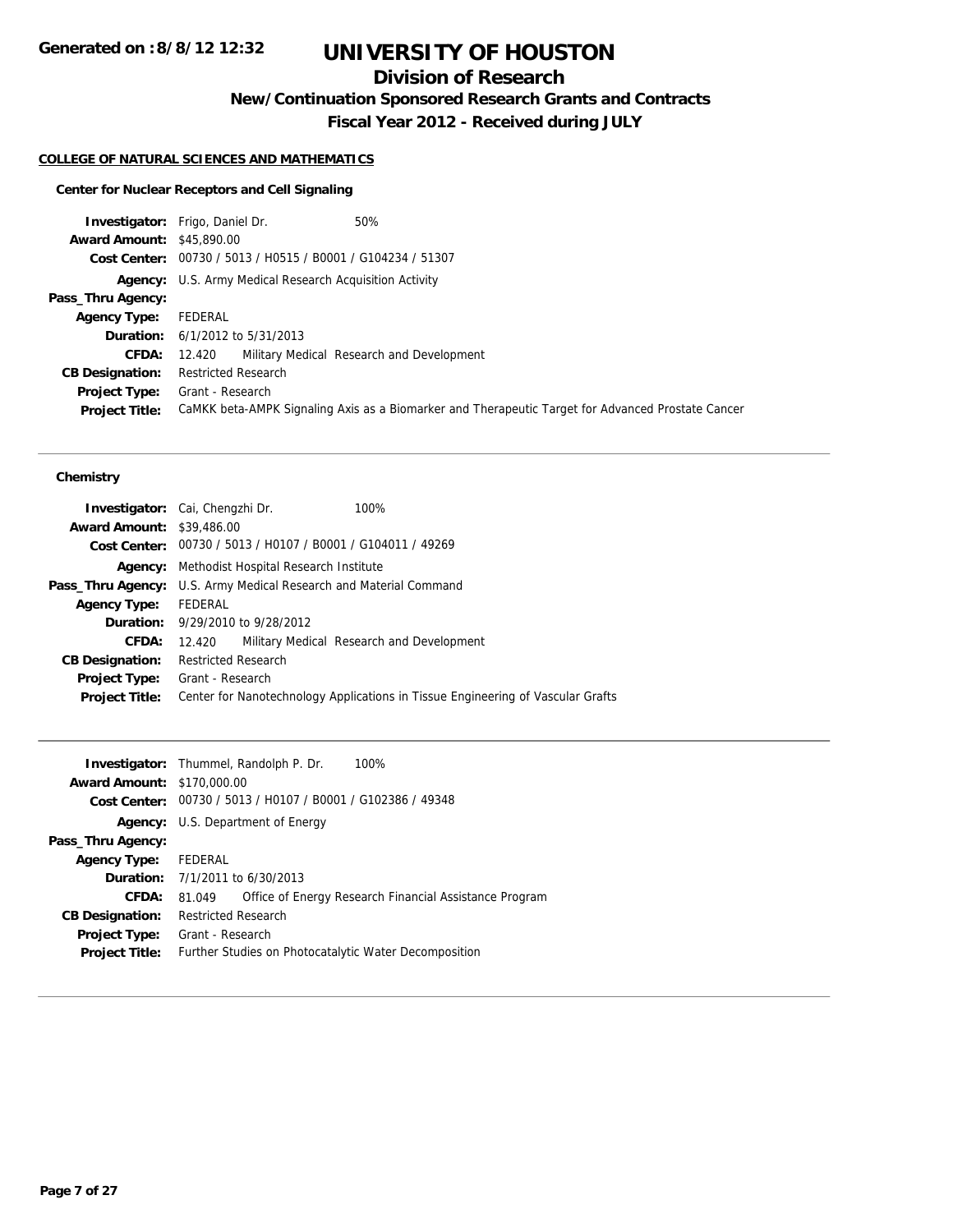# **Division of Research**

**New/Continuation Sponsored Research Grants and Contracts**

**Fiscal Year 2012 - Received during JULY**

## **COLLEGE OF NATURAL SCIENCES AND MATHEMATICS**

## **Center for Nuclear Receptors and Cell Signaling**

|                                  | 50%<br><b>Investigator:</b> Frigo, Daniel Dr.                                                     |
|----------------------------------|---------------------------------------------------------------------------------------------------|
| <b>Award Amount: \$45,890.00</b> |                                                                                                   |
|                                  | Cost Center: 00730 / 5013 / H0515 / B0001 / G104234 / 51307                                       |
|                                  | <b>Agency:</b> U.S. Army Medical Research Acquisition Activity                                    |
| Pass_Thru Agency:                |                                                                                                   |
| <b>Agency Type:</b>              | FEDERAL                                                                                           |
|                                  | <b>Duration:</b> $6/1/2012$ to $5/31/2013$                                                        |
| <b>CFDA:</b>                     | 12.420 Military Medical Research and Development                                                  |
| <b>CB Designation:</b>           | <b>Restricted Research</b>                                                                        |
|                                  | <b>Project Type:</b> Grant - Research                                                             |
| <b>Project Title:</b>            | CaMKK beta-AMPK Signaling Axis as a Biomarker and Therapeutic Target for Advanced Prostate Cancer |

### **Chemistry**

|                                  | <b>Investigator:</b> Cai, Chengzhi Dr.                      | 100%                                                                            |  |
|----------------------------------|-------------------------------------------------------------|---------------------------------------------------------------------------------|--|
| <b>Award Amount: \$39,486.00</b> |                                                             |                                                                                 |  |
|                                  | Cost Center: 00730 / 5013 / H0107 / B0001 / G104011 / 49269 |                                                                                 |  |
| Agency:                          | Methodist Hospital Research Institute                       |                                                                                 |  |
| Pass_Thru Agency:                | U.S. Army Medical Research and Material Command             |                                                                                 |  |
| <b>Agency Type:</b>              | FEDERAL                                                     |                                                                                 |  |
|                                  | <b>Duration:</b> 9/29/2010 to 9/28/2012                     |                                                                                 |  |
| CFDA:                            | 12.420                                                      | Military Medical Research and Development                                       |  |
| <b>CB Designation:</b>           | <b>Restricted Research</b>                                  |                                                                                 |  |
| <b>Project Type:</b>             | Grant - Research                                            |                                                                                 |  |
| <b>Project Title:</b>            |                                                             | Center for Nanotechnology Applications in Tissue Engineering of Vascular Grafts |  |

|                                   | 100%<br><b>Investigator:</b> Thummel, Randolph P. Dr.            |  |
|-----------------------------------|------------------------------------------------------------------|--|
| <b>Award Amount: \$170,000.00</b> |                                                                  |  |
|                                   | Cost Center: 00730 / 5013 / H0107 / B0001 / G102386 / 49348      |  |
|                                   | <b>Agency:</b> U.S. Department of Energy                         |  |
| Pass_Thru Agency:                 |                                                                  |  |
| <b>Agency Type:</b>               | FEDERAL                                                          |  |
|                                   | <b>Duration:</b> 7/1/2011 to 6/30/2013                           |  |
| CFDA:                             | Office of Energy Research Financial Assistance Program<br>81.049 |  |
| <b>CB Designation:</b>            | <b>Restricted Research</b>                                       |  |
| <b>Project Type:</b>              | Grant - Research                                                 |  |
| <b>Project Title:</b>             | Further Studies on Photocatalytic Water Decomposition            |  |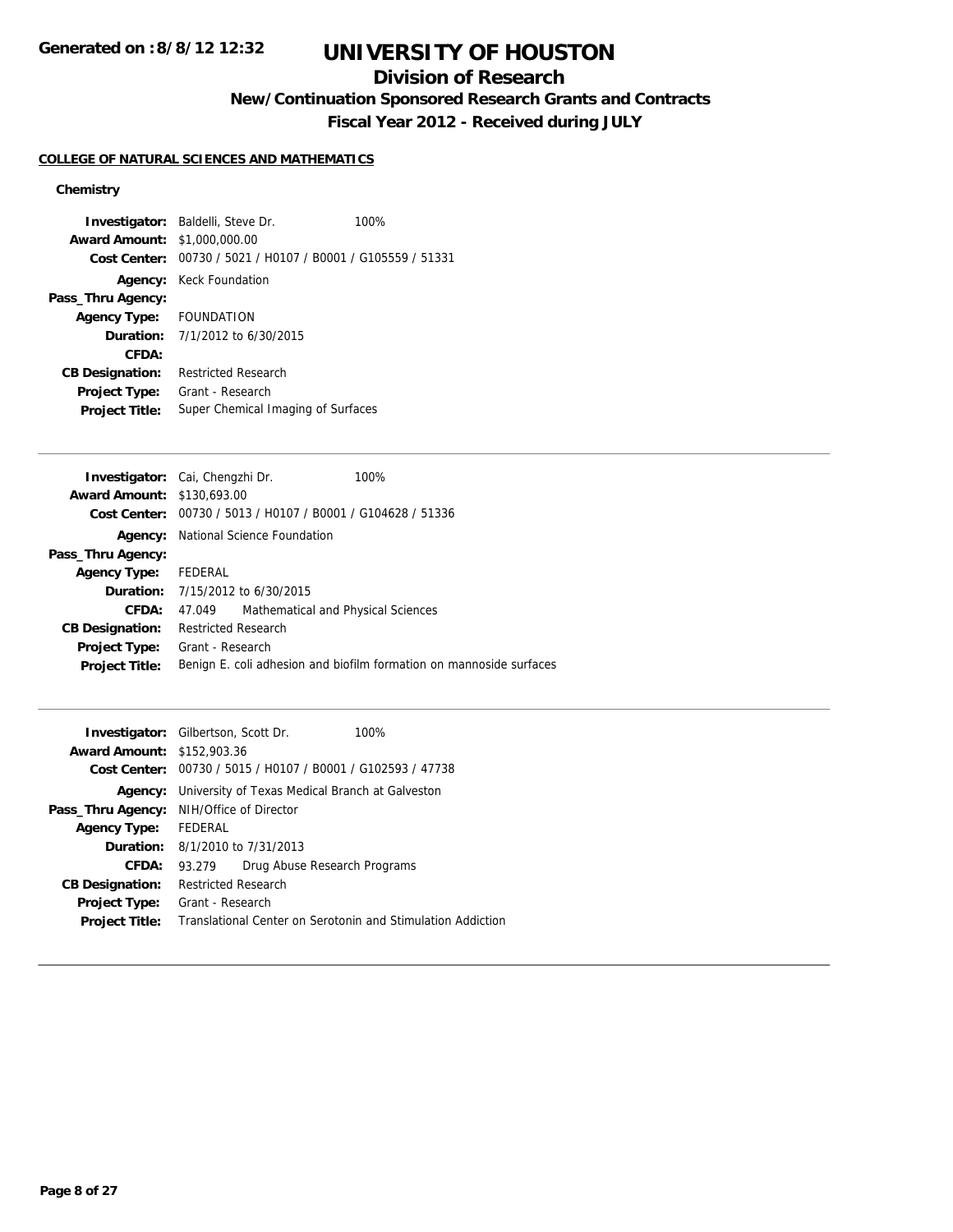## **Division of Research**

**New/Continuation Sponsored Research Grants and Contracts**

**Fiscal Year 2012 - Received during JULY**

## **COLLEGE OF NATURAL SCIENCES AND MATHEMATICS**

## **Chemistry**

|                                     | <b>Investigator:</b> Baldelli, Steve Dr.                    | 100% |
|-------------------------------------|-------------------------------------------------------------|------|
| <b>Award Amount: \$1,000,000.00</b> |                                                             |      |
|                                     | Cost Center: 00730 / 5021 / H0107 / B0001 / G105559 / 51331 |      |
|                                     | <b>Agency:</b> Keck Foundation                              |      |
| Pass_Thru Agency:                   |                                                             |      |
| Agency Type: FOUNDATION             |                                                             |      |
|                                     | <b>Duration:</b> $7/1/2012$ to $6/30/2015$                  |      |
| CFDA:                               |                                                             |      |
| <b>CB Designation:</b>              | <b>Restricted Research</b>                                  |      |
| Project Type:                       | Grant - Research                                            |      |
| <b>Project Title:</b>               | Super Chemical Imaging of Surfaces                          |      |

|                                   | Investigator: Cai, Chengzhi Dr.                             | 100%                                                                |
|-----------------------------------|-------------------------------------------------------------|---------------------------------------------------------------------|
| <b>Award Amount: \$130,693.00</b> |                                                             |                                                                     |
|                                   | Cost Center: 00730 / 5013 / H0107 / B0001 / G104628 / 51336 |                                                                     |
|                                   | <b>Agency:</b> National Science Foundation                  |                                                                     |
| Pass_Thru Agency:                 |                                                             |                                                                     |
| <b>Agency Type:</b>               | FEDERAL                                                     |                                                                     |
|                                   | <b>Duration:</b> 7/15/2012 to 6/30/2015                     |                                                                     |
| CFDA:                             | 47.049                                                      | Mathematical and Physical Sciences                                  |
| <b>CB Designation:</b>            | <b>Restricted Research</b>                                  |                                                                     |
| <b>Project Type:</b>              | Grant - Research                                            |                                                                     |
| <b>Project Title:</b>             |                                                             | Benign E. coli adhesion and biofilm formation on mannoside surfaces |
|                                   |                                                             |                                                                     |

| <b>Investigator:</b> Gilbertson, Scott Dr. |                                                             |                                        | 100%                         |  |
|--------------------------------------------|-------------------------------------------------------------|----------------------------------------|------------------------------|--|
| <b>Award Amount: \$152,903.36</b>          |                                                             |                                        |                              |  |
| Cost Center:                               | 00730 / 5015 / H0107 / B0001 / G102593 / 47738              |                                        |                              |  |
| Agency:                                    | University of Texas Medical Branch at Galveston             |                                        |                              |  |
|                                            | <b>Pass_Thru Agency:</b> NIH/Office of Director             |                                        |                              |  |
| <b>Agency Type:</b>                        | FEDERAL                                                     |                                        |                              |  |
|                                            |                                                             | <b>Duration:</b> 8/1/2010 to 7/31/2013 |                              |  |
| CFDA:                                      | 93.279                                                      |                                        | Drug Abuse Research Programs |  |
| <b>CB Designation:</b>                     | <b>Restricted Research</b>                                  |                                        |                              |  |
| <b>Project Type:</b>                       | Grant - Research                                            |                                        |                              |  |
| <b>Project Title:</b>                      | Translational Center on Serotonin and Stimulation Addiction |                                        |                              |  |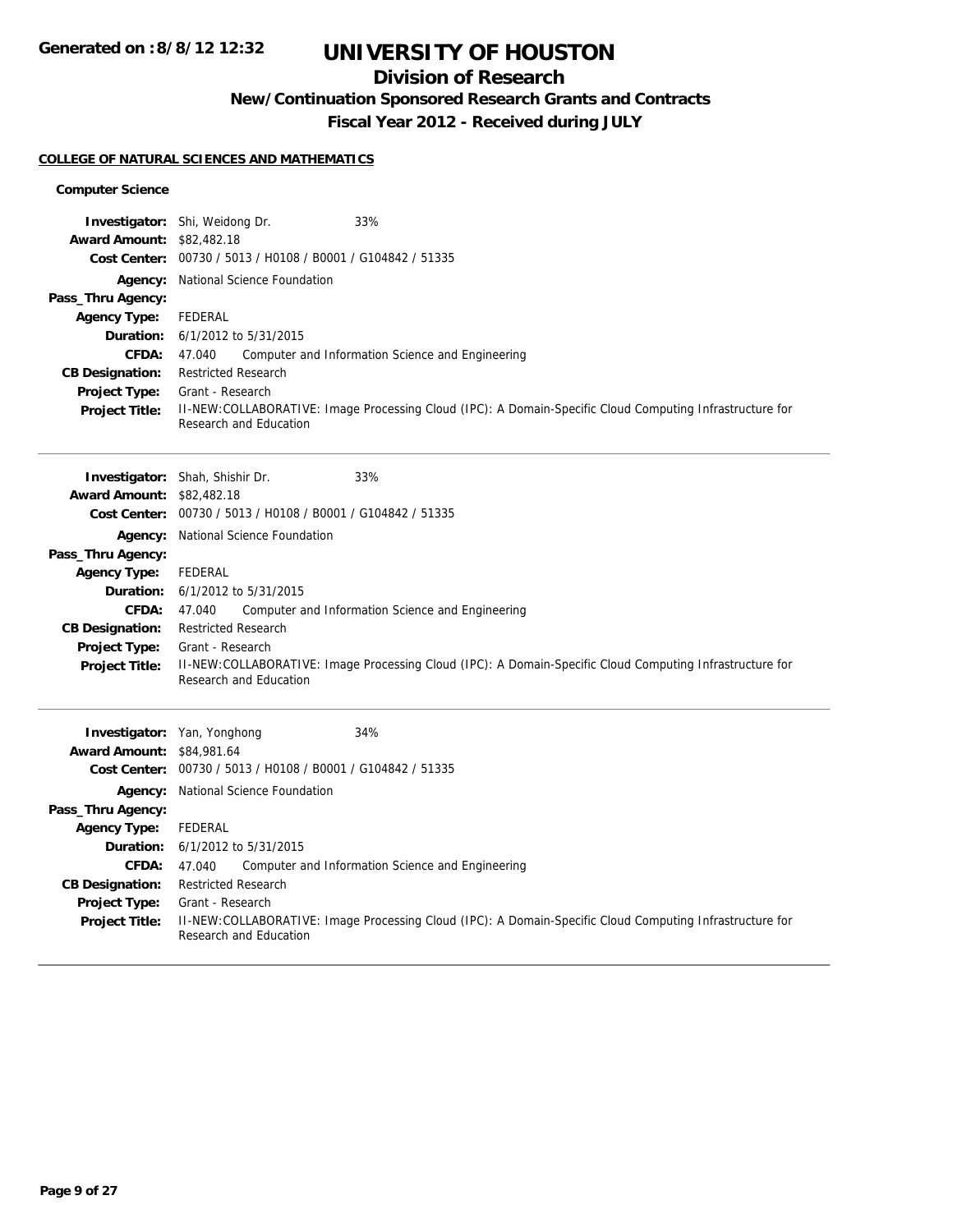# **Division of Research**

**New/Continuation Sponsored Research Grants and Contracts**

**Fiscal Year 2012 - Received during JULY**

## **COLLEGE OF NATURAL SCIENCES AND MATHEMATICS**

### **Computer Science**

|                                        | 33%<br><b>Investigator:</b> Shi, Weidong Dr.                                                                                       |  |  |  |
|----------------------------------------|------------------------------------------------------------------------------------------------------------------------------------|--|--|--|
| <b>Award Amount: \$82,482.18</b>       | Cost Center: 00730 / 5013 / H0108 / B0001 / G104842 / 51335                                                                        |  |  |  |
| Agency:                                | National Science Foundation                                                                                                        |  |  |  |
| Pass_Thru Agency:                      |                                                                                                                                    |  |  |  |
| <b>Agency Type:</b>                    | <b>FEDERAL</b>                                                                                                                     |  |  |  |
| Duration:                              | 6/1/2012 to 5/31/2015                                                                                                              |  |  |  |
| <b>CFDA:</b>                           | 47.040<br>Computer and Information Science and Engineering                                                                         |  |  |  |
| <b>CB Designation:</b>                 | <b>Restricted Research</b>                                                                                                         |  |  |  |
| <b>Project Type:</b>                   | Grant - Research                                                                                                                   |  |  |  |
| <b>Project Title:</b>                  | II-NEW:COLLABORATIVE: Image Processing Cloud (IPC): A Domain-Specific Cloud Computing Infrastructure for<br>Research and Education |  |  |  |
|                                        | Investigator: Shah, Shishir Dr.<br>33%                                                                                             |  |  |  |
| <b>Award Amount: \$82,482.18</b>       |                                                                                                                                    |  |  |  |
|                                        | Cost Center: 00730 / 5013 / H0108 / B0001 / G104842 / 51335                                                                        |  |  |  |
|                                        | Agency: National Science Foundation                                                                                                |  |  |  |
| Pass_Thru Agency:                      |                                                                                                                                    |  |  |  |
| <b>Agency Type:</b>                    | FEDERAL                                                                                                                            |  |  |  |
|                                        | <b>Duration:</b> 6/1/2012 to 5/31/2015                                                                                             |  |  |  |
| <b>CFDA:</b>                           | Computer and Information Science and Engineering<br>47.040                                                                         |  |  |  |
| <b>CB Designation:</b>                 | <b>Restricted Research</b>                                                                                                         |  |  |  |
| Project Type:<br><b>Project Title:</b> | Grant - Research<br>II-NEW:COLLABORATIVE: Image Processing Cloud (IPC): A Domain-Specific Cloud Computing Infrastructure for       |  |  |  |
|                                        | Research and Education                                                                                                             |  |  |  |
|                                        |                                                                                                                                    |  |  |  |
|                                        | 34%<br><b>Investigator:</b> Yan, Yonghong                                                                                          |  |  |  |
| <b>Award Amount: \$84,981.64</b>       |                                                                                                                                    |  |  |  |
|                                        | Cost Center: 00730 / 5013 / H0108 / B0001 / G104842 / 51335                                                                        |  |  |  |
|                                        | <b>Agency:</b> National Science Foundation                                                                                         |  |  |  |
| Pass_Thru Agency:                      |                                                                                                                                    |  |  |  |
| <b>Agency Type:</b>                    | <b>FEDERAL</b>                                                                                                                     |  |  |  |
| Duration:                              | 6/1/2012 to 5/31/2015                                                                                                              |  |  |  |
| <b>CFDA:</b>                           | Computer and Information Science and Engineering<br>47.040                                                                         |  |  |  |
| <b>CB Designation:</b>                 | <b>Restricted Research</b>                                                                                                         |  |  |  |
| <b>Project Type:</b>                   | Grant - Research                                                                                                                   |  |  |  |
| <b>Project Title:</b>                  | II-NEW:COLLABORATIVE: Image Processing Cloud (IPC): A Domain-Specific Cloud Computing Infrastructure for<br>Research and Education |  |  |  |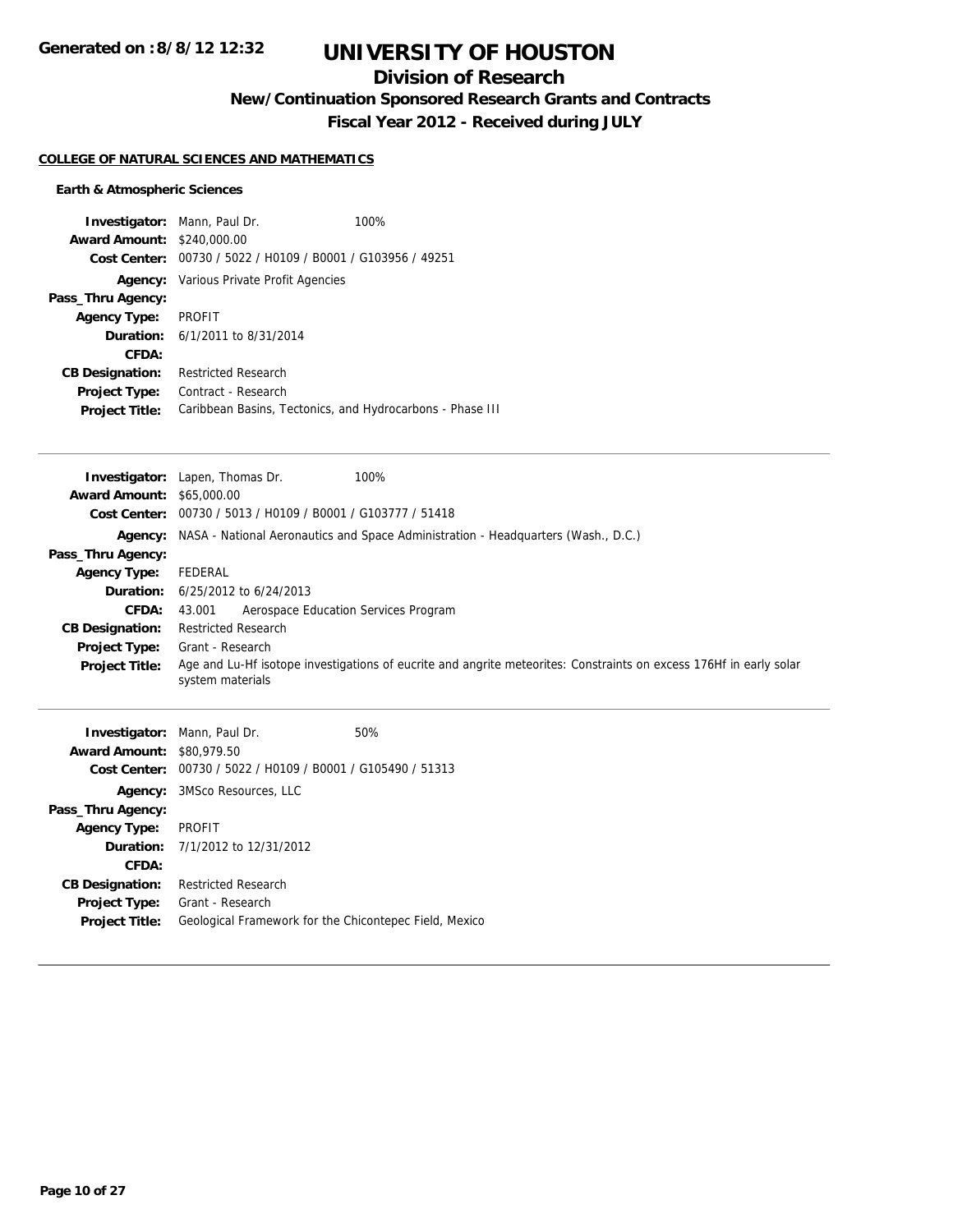## **Division of Research**

**New/Continuation Sponsored Research Grants and Contracts**

**Fiscal Year 2012 - Received during JULY**

### **COLLEGE OF NATURAL SCIENCES AND MATHEMATICS**

## **Earth & Atmospheric Sciences**

| <b>Investigator:</b> Mann, Paul Dr.<br><b>Award Amount: \$240,000.00</b> | Cost Center: 00730 / 5022 / H0109 / B0001 / G103956 / 49251 | 100% |
|--------------------------------------------------------------------------|-------------------------------------------------------------|------|
|                                                                          |                                                             |      |
|                                                                          | <b>Agency:</b> Various Private Profit Agencies              |      |
| Pass_Thru Agency:                                                        |                                                             |      |
| <b>Agency Type:</b>                                                      | PROFIT                                                      |      |
|                                                                          | <b>Duration:</b> 6/1/2011 to 8/31/2014                      |      |
| CFDA:                                                                    |                                                             |      |
| <b>CB Designation:</b>                                                   | <b>Restricted Research</b>                                  |      |
| <b>Project Type:</b>                                                     | Contract - Research                                         |      |
| <b>Project Title:</b>                                                    | Caribbean Basins, Tectonics, and Hydrocarbons - Phase III   |      |

|                                  | 100%<br><b>Investigator:</b> Lapen, Thomas Dr.                                                                                         |
|----------------------------------|----------------------------------------------------------------------------------------------------------------------------------------|
| <b>Award Amount: \$65,000.00</b> |                                                                                                                                        |
|                                  | Cost Center: 00730 / 5013 / H0109 / B0001 / G103777 / 51418                                                                            |
|                                  | Agency: NASA - National Aeronautics and Space Administration - Headquarters (Wash., D.C.)                                              |
| Pass_Thru Agency:                |                                                                                                                                        |
| <b>Agency Type:</b>              | FEDERAL                                                                                                                                |
|                                  | <b>Duration:</b> 6/25/2012 to 6/24/2013                                                                                                |
| <b>CFDA:</b>                     | Aerospace Education Services Program<br>43.001                                                                                         |
| <b>CB Designation:</b>           | <b>Restricted Research</b>                                                                                                             |
| <b>Project Type:</b>             | Grant - Research                                                                                                                       |
| <b>Project Title:</b>            | Age and Lu-Hf isotope investigations of eucrite and angrite meteorites: Constraints on excess 176Hf in early solar<br>system materials |

| <b>Investigator:</b> Mann, Paul Dr. |                                         | 50%                                                         |  |
|-------------------------------------|-----------------------------------------|-------------------------------------------------------------|--|
| <b>Award Amount: \$80,979.50</b>    |                                         |                                                             |  |
|                                     |                                         | Cost Center: 00730 / 5022 / H0109 / B0001 / G105490 / 51313 |  |
|                                     | <b>Agency:</b> 3MSco Resources, LLC     |                                                             |  |
| Pass_Thru Agency:                   |                                         |                                                             |  |
| <b>Agency Type:</b>                 | <b>PROFIT</b>                           |                                                             |  |
|                                     | <b>Duration:</b> 7/1/2012 to 12/31/2012 |                                                             |  |
| CFDA:                               |                                         |                                                             |  |
| <b>CB Designation:</b>              | <b>Restricted Research</b>              |                                                             |  |
| <b>Project Type:</b>                | Grant - Research                        |                                                             |  |
| <b>Project Title:</b>               |                                         | Geological Framework for the Chicontepec Field, Mexico      |  |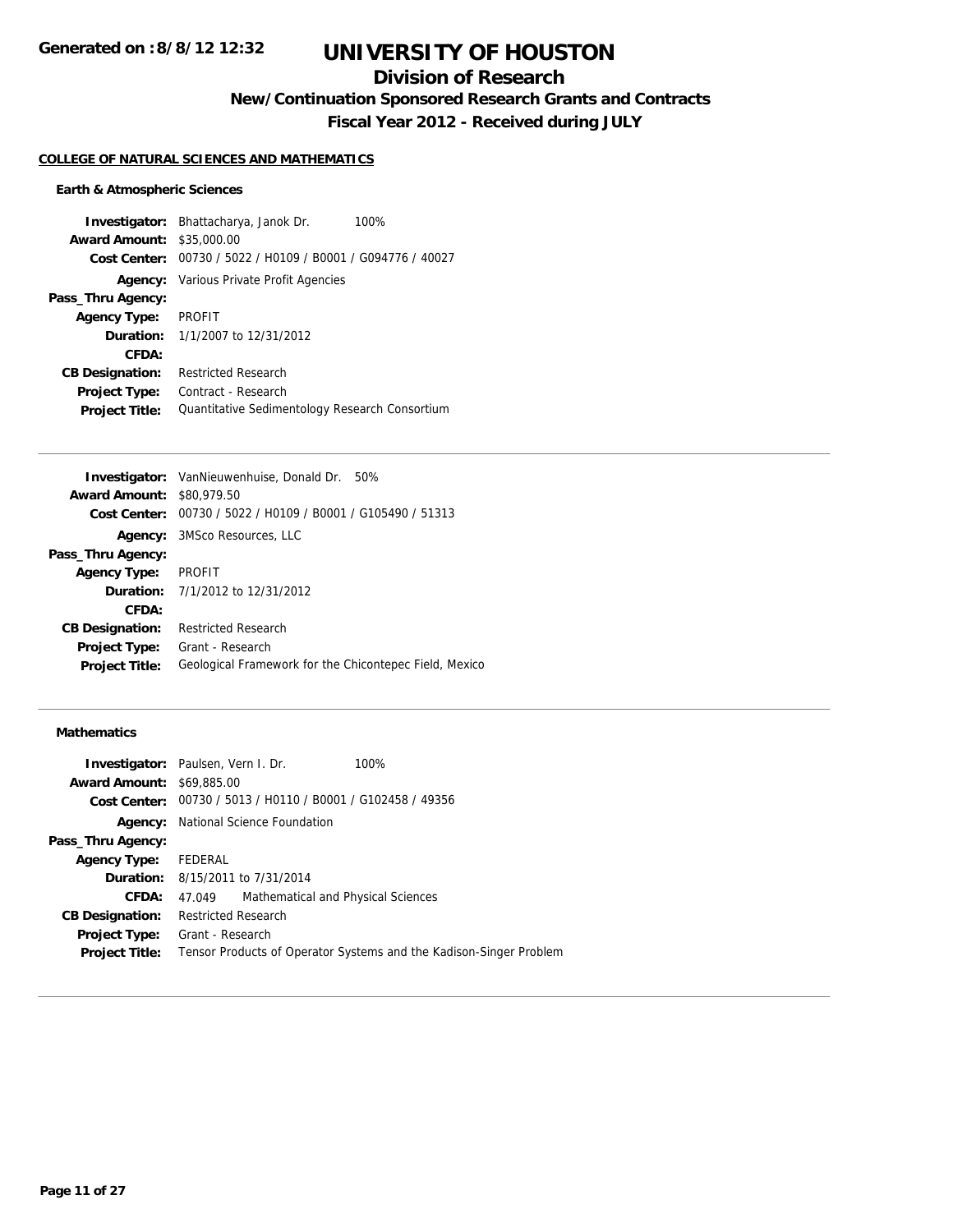## **Division of Research**

**New/Continuation Sponsored Research Grants and Contracts**

**Fiscal Year 2012 - Received during JULY**

#### **COLLEGE OF NATURAL SCIENCES AND MATHEMATICS**

#### **Earth & Atmospheric Sciences**

**Investigator:** Bhattacharya, Janok Dr. 100% **Award Amount:** \$35,000.00 **Cost Center:** 00730 / 5022 / H0109 / B0001 / G094776 / 40027 **Agency:** Various Private Profit Agencies **Pass\_Thru Agency: Agency Type:** PROFIT **Duration:** 1/1/2007 to 12/31/2012 **CFDA: CB Designation:** Restricted Research **Project Type:** Contract - Research Project Title: Quantitative Sedimentology Research Consortium

|                                  | <b>Investigator:</b> VanNieuwenhuise, Donald Dr. 50%        |
|----------------------------------|-------------------------------------------------------------|
| <b>Award Amount: \$80,979.50</b> |                                                             |
|                                  | Cost Center: 00730 / 5022 / H0109 / B0001 / G105490 / 51313 |
|                                  | <b>Agency:</b> 3MSco Resources, LLC                         |
| Pass_Thru Agency:                |                                                             |
| <b>Agency Type:</b>              | <b>PROFIT</b>                                               |
|                                  | <b>Duration:</b> $7/1/2012$ to $12/31/2012$                 |
| CFDA:                            |                                                             |
| <b>CB Designation:</b>           | <b>Restricted Research</b>                                  |
| <b>Project Type:</b>             | Grant - Research                                            |
| <b>Project Title:</b>            | Geological Framework for the Chicontepec Field, Mexico      |
|                                  |                                                             |

## **Mathematics**

|                                  | <b>Investigator:</b> Paulsen, Vern I. Dr.<br>100%                  |
|----------------------------------|--------------------------------------------------------------------|
| <b>Award Amount: \$69,885,00</b> |                                                                    |
|                                  | Cost Center: 00730 / 5013 / H0110 / B0001 / G102458 / 49356        |
| Agency:                          | National Science Foundation                                        |
| Pass_Thru Agency:                |                                                                    |
| <b>Agency Type:</b>              | FEDERAL                                                            |
|                                  | <b>Duration:</b> 8/15/2011 to 7/31/2014                            |
| <b>CFDA:</b>                     | Mathematical and Physical Sciences<br>47.049                       |
| <b>CB Designation:</b>           | <b>Restricted Research</b>                                         |
| <b>Project Type:</b>             | Grant - Research                                                   |
| <b>Project Title:</b>            | Tensor Products of Operator Systems and the Kadison-Singer Problem |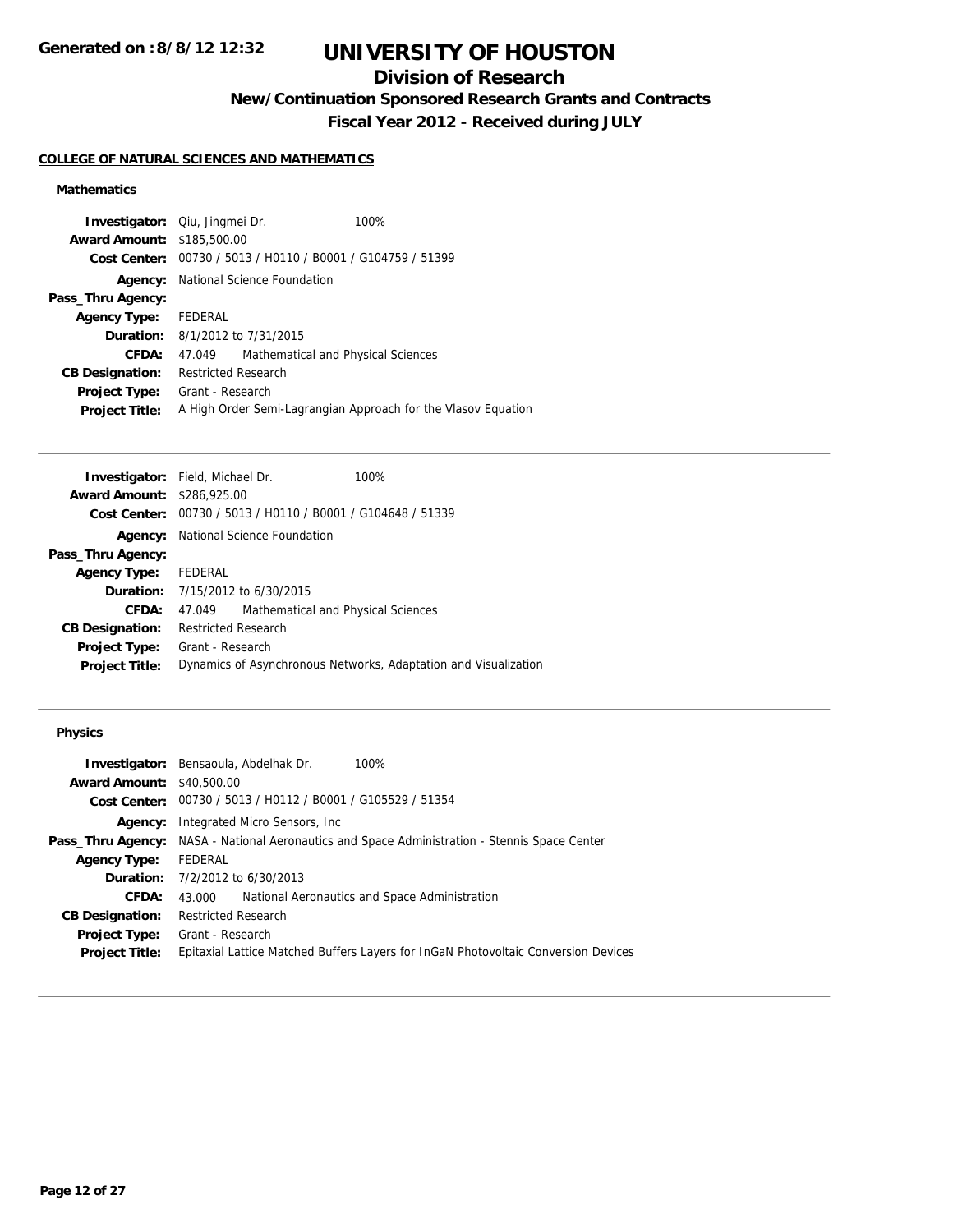# **Division of Research**

**New/Continuation Sponsored Research Grants and Contracts**

**Fiscal Year 2012 - Received during JULY**

## **COLLEGE OF NATURAL SCIENCES AND MATHEMATICS**

## **Mathematics**

| <b>Investigator:</b> Qiu, Jingmei Dr. |                            |                                        | 100%                                                          |
|---------------------------------------|----------------------------|----------------------------------------|---------------------------------------------------------------|
| <b>Award Amount: \$185,500.00</b>     |                            |                                        |                                                               |
|                                       |                            |                                        | Cost Center: 00730 / 5013 / H0110 / B0001 / G104759 / 51399   |
| Agency:                               |                            | National Science Foundation            |                                                               |
| Pass_Thru Agency:                     |                            |                                        |                                                               |
| <b>Agency Type:</b>                   | FEDERAL                    |                                        |                                                               |
|                                       |                            | <b>Duration:</b> 8/1/2012 to 7/31/2015 |                                                               |
| <b>CFDA:</b>                          | 47.049                     | Mathematical and Physical Sciences     |                                                               |
| <b>CB Designation:</b>                | <b>Restricted Research</b> |                                        |                                                               |
| Project Type:                         | Grant - Research           |                                        |                                                               |
| <b>Project Title:</b>                 |                            |                                        | A High Order Semi-Lagrangian Approach for the Vlasov Equation |

|                      |                                    | 100%                                                                                                                                                                                                                                                                                             |
|----------------------|------------------------------------|--------------------------------------------------------------------------------------------------------------------------------------------------------------------------------------------------------------------------------------------------------------------------------------------------|
|                      |                                    |                                                                                                                                                                                                                                                                                                  |
|                      |                                    |                                                                                                                                                                                                                                                                                                  |
|                      |                                    |                                                                                                                                                                                                                                                                                                  |
|                      |                                    |                                                                                                                                                                                                                                                                                                  |
| Agency Type: FEDERAL |                                    |                                                                                                                                                                                                                                                                                                  |
|                      |                                    |                                                                                                                                                                                                                                                                                                  |
|                      | Mathematical and Physical Sciences |                                                                                                                                                                                                                                                                                                  |
|                      |                                    |                                                                                                                                                                                                                                                                                                  |
|                      |                                    |                                                                                                                                                                                                                                                                                                  |
|                      |                                    | Dynamics of Asynchronous Networks, Adaptation and Visualization                                                                                                                                                                                                                                  |
|                      |                                    | <b>Investigator:</b> Field, Michael Dr.<br><b>Award Amount: \$286,925.00</b><br>Cost Center: 00730 / 5013 / H0110 / B0001 / G104648 / 51339<br><b>Agency:</b> National Science Foundation<br><b>Duration:</b> 7/15/2012 to 6/30/2015<br>47.049<br><b>Restricted Research</b><br>Grant - Research |

## **Physics**

| <b>Investigator:</b> Bensaoula, Abdelhak Dr.<br>100%                                                 |
|------------------------------------------------------------------------------------------------------|
| <b>Award Amount: \$40,500.00</b>                                                                     |
| Cost Center: 00730 / 5013 / H0112 / B0001 / G105529 / 51354                                          |
| Integrated Micro Sensors, Inc.                                                                       |
| <b>Pass_Thru Agency:</b> NASA - National Aeronautics and Space Administration - Stennis Space Center |
| FEDERAL                                                                                              |
| <b>Duration:</b> $7/2/2012$ to $6/30/2013$                                                           |
| National Aeronautics and Space Administration<br>43.000                                              |
| <b>Restricted Research</b>                                                                           |
| Grant - Research                                                                                     |
| Epitaxial Lattice Matched Buffers Layers for InGaN Photovoltaic Conversion Devices                   |
|                                                                                                      |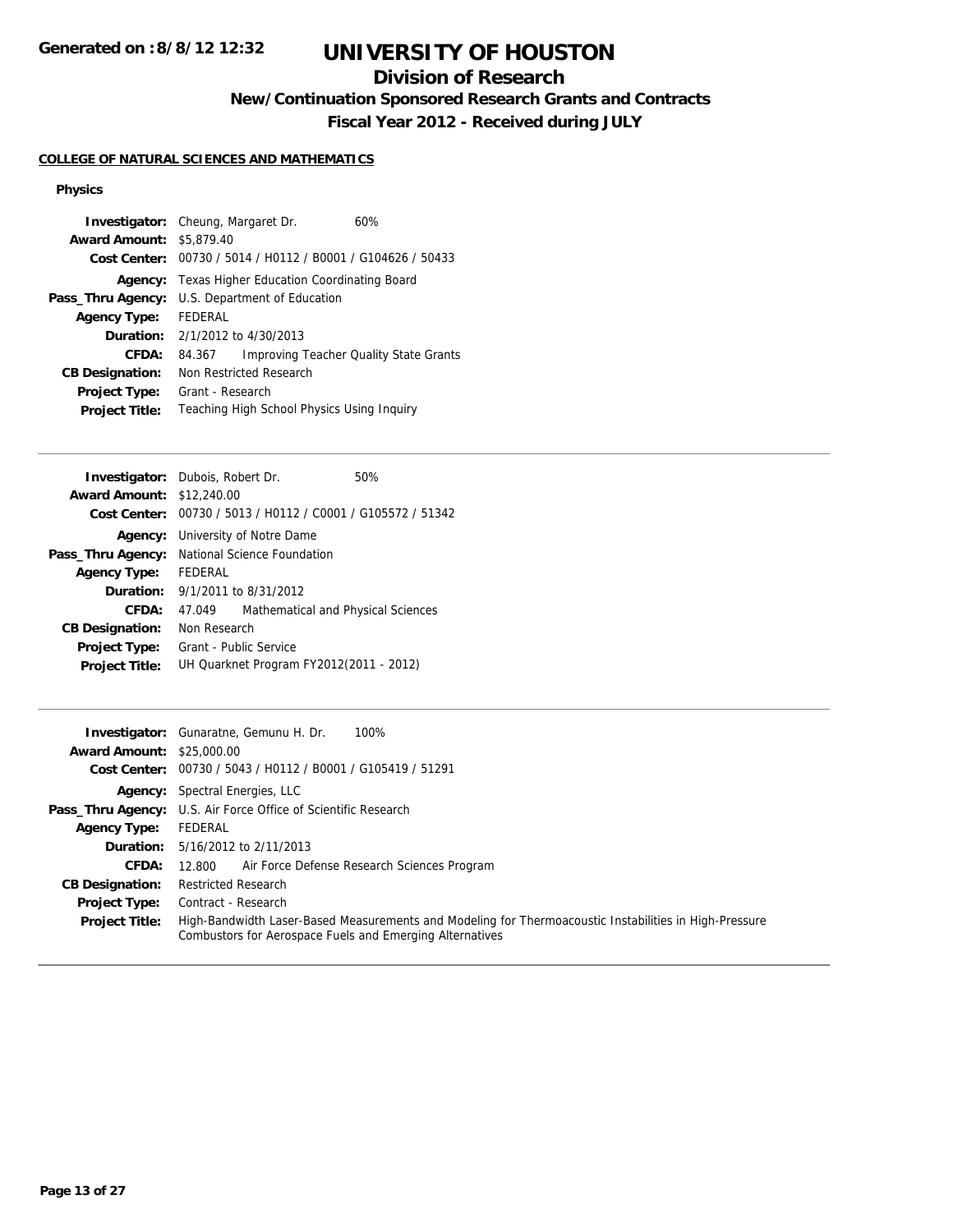# **Division of Research**

**New/Continuation Sponsored Research Grants and Contracts**

**Fiscal Year 2012 - Received during JULY**

## **COLLEGE OF NATURAL SCIENCES AND MATHEMATICS**

## **Physics**

| <b>Award Amount: \$5,879.40</b> | <b>Investigator:</b> Cheung, Margaret Dr.                   | 60%                                           |  |
|---------------------------------|-------------------------------------------------------------|-----------------------------------------------|--|
|                                 |                                                             |                                               |  |
|                                 | Cost Center: 00730 / 5014 / H0112 / B0001 / G104626 / 50433 |                                               |  |
| Agency:                         | Texas Higher Education Coordinating Board                   |                                               |  |
| Pass_Thru Agency:               | U.S. Department of Education                                |                                               |  |
| <b>Agency Type:</b>             | FEDERAL                                                     |                                               |  |
|                                 | <b>Duration:</b> 2/1/2012 to 4/30/2013                      |                                               |  |
| CFDA:                           | 84.367                                                      | <b>Improving Teacher Quality State Grants</b> |  |
| <b>CB Designation:</b>          | Non Restricted Research                                     |                                               |  |
| <b>Project Type:</b>            | Grant - Research                                            |                                               |  |
| <b>Project Title:</b>           | Teaching High School Physics Using Inguiry                  |                                               |  |

|                                                             |                                    | 50%                                                                                                                                                                                                               |
|-------------------------------------------------------------|------------------------------------|-------------------------------------------------------------------------------------------------------------------------------------------------------------------------------------------------------------------|
| <b>Award Amount: \$12,240.00</b>                            |                                    |                                                                                                                                                                                                                   |
| Cost Center: 00730 / 5013 / H0112 / C0001 / G105572 / 51342 |                                    |                                                                                                                                                                                                                   |
|                                                             |                                    |                                                                                                                                                                                                                   |
| National Science Foundation<br>Pass_Thru Agency:            |                                    |                                                                                                                                                                                                                   |
| FEDERAL                                                     |                                    |                                                                                                                                                                                                                   |
|                                                             |                                    |                                                                                                                                                                                                                   |
| 47.049                                                      | Mathematical and Physical Sciences |                                                                                                                                                                                                                   |
|                                                             |                                    |                                                                                                                                                                                                                   |
|                                                             |                                    |                                                                                                                                                                                                                   |
|                                                             |                                    |                                                                                                                                                                                                                   |
|                                                             |                                    | <b>Investigator:</b> Dubois, Robert Dr.<br><b>Agency:</b> University of Notre Dame<br><b>Duration:</b> 9/1/2011 to 8/31/2012<br>Non Research<br>Grant - Public Service<br>UH Quarknet Program FY2012(2011 - 2012) |

|                                  | <b>Investigator:</b> Gunaratne, Gemunu H. Dr.<br>100%                                                                                                              |
|----------------------------------|--------------------------------------------------------------------------------------------------------------------------------------------------------------------|
| <b>Award Amount: \$25,000.00</b> |                                                                                                                                                                    |
|                                  | Cost Center: 00730 / 5043 / H0112 / B0001 / G105419 / 51291                                                                                                        |
|                                  | <b>Agency:</b> Spectral Energies, LLC                                                                                                                              |
|                                  | <b>Pass_Thru Agency:</b> U.S. Air Force Office of Scientific Research                                                                                              |
| <b>Agency Type:</b>              | FEDERAL                                                                                                                                                            |
|                                  | <b>Duration:</b> 5/16/2012 to 2/11/2013                                                                                                                            |
| <b>CFDA:</b>                     | Air Force Defense Research Sciences Program<br>12.800                                                                                                              |
| <b>CB Designation:</b>           | <b>Restricted Research</b>                                                                                                                                         |
| <b>Project Type:</b>             | Contract - Research                                                                                                                                                |
| <b>Project Title:</b>            | High-Bandwidth Laser-Based Measurements and Modeling for Thermoacoustic Instabilities in High-Pressure<br>Combustors for Aerospace Fuels and Emerging Alternatives |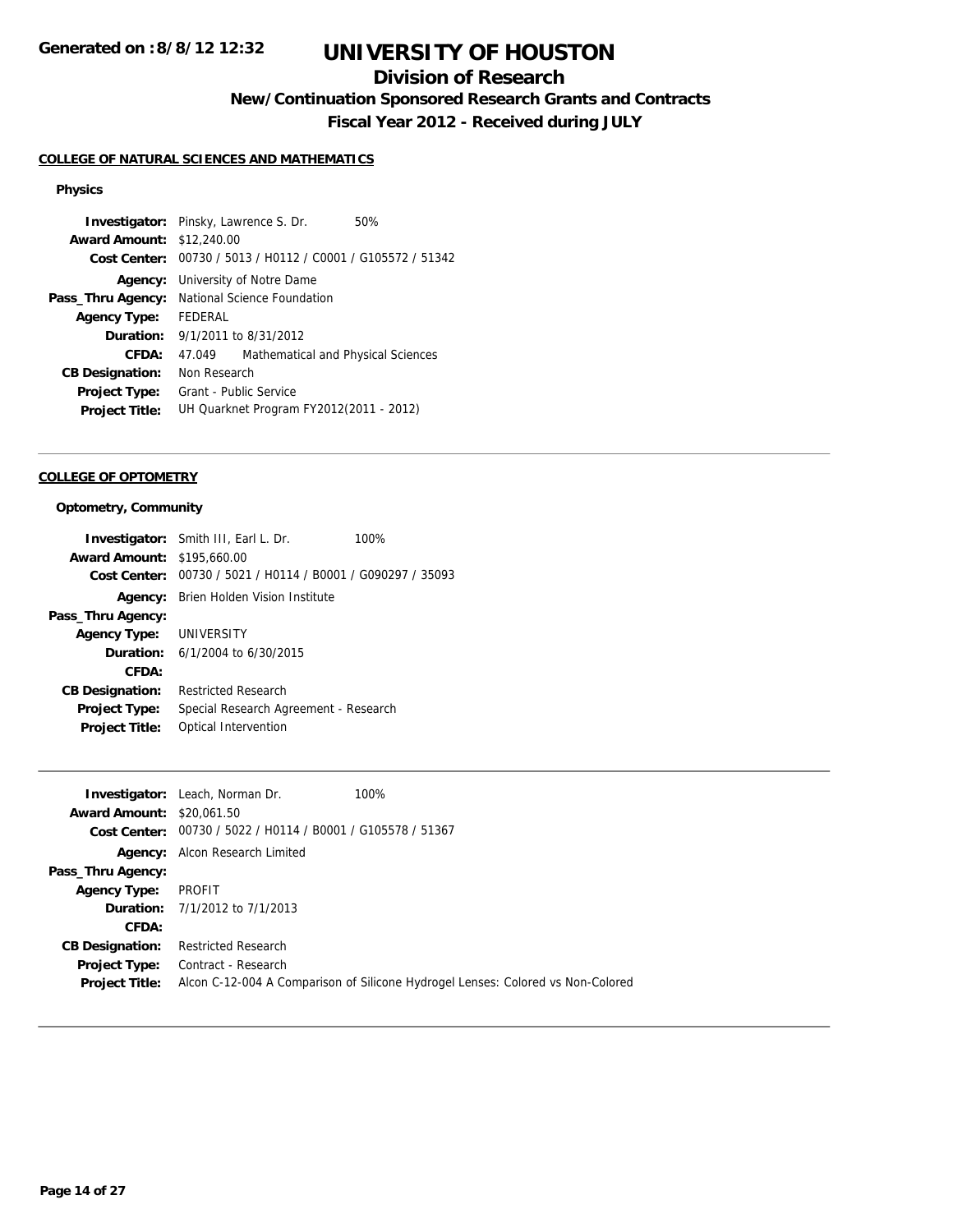## **Division of Research**

**New/Continuation Sponsored Research Grants and Contracts**

**Fiscal Year 2012 - Received during JULY**

## **COLLEGE OF NATURAL SCIENCES AND MATHEMATICS**

## **Physics**

|         |                                    | 50%                                                                                                                                                                                                                                                                                                                                                      |
|---------|------------------------------------|----------------------------------------------------------------------------------------------------------------------------------------------------------------------------------------------------------------------------------------------------------------------------------------------------------------------------------------------------------|
|         |                                    |                                                                                                                                                                                                                                                                                                                                                          |
|         |                                    |                                                                                                                                                                                                                                                                                                                                                          |
|         |                                    |                                                                                                                                                                                                                                                                                                                                                          |
|         |                                    |                                                                                                                                                                                                                                                                                                                                                          |
| FFDFRAL |                                    |                                                                                                                                                                                                                                                                                                                                                          |
|         |                                    |                                                                                                                                                                                                                                                                                                                                                          |
| 47.049  | Mathematical and Physical Sciences |                                                                                                                                                                                                                                                                                                                                                          |
|         |                                    |                                                                                                                                                                                                                                                                                                                                                          |
|         |                                    |                                                                                                                                                                                                                                                                                                                                                          |
|         |                                    |                                                                                                                                                                                                                                                                                                                                                          |
|         |                                    | <b>Investigator:</b> Pinsky, Lawrence S. Dr.<br><b>Award Amount: \$12,240.00</b><br>Cost Center: 00730 / 5013 / H0112 / C0001 / G105572 / 51342<br><b>Agency:</b> University of Notre Dame<br>National Science Foundation<br><b>Duration:</b> 9/1/2011 to 8/31/2012<br>Non Research<br>Grant - Public Service<br>UH Quarknet Program FY2012(2011 - 2012) |

#### **COLLEGE OF OPTOMETRY**

## **Optometry, Community**

| <b>Investigator:</b> Smith III, Earl L. Dr.                 | 100%                                  |
|-------------------------------------------------------------|---------------------------------------|
| <b>Award Amount: \$195,660.00</b>                           |                                       |
| Cost Center: 00730 / 5021 / H0114 / B0001 / G090297 / 35093 |                                       |
| <b>Agency:</b> Brien Holden Vision Institute                |                                       |
|                                                             |                                       |
| Agency Type: UNIVERSITY                                     |                                       |
| <b>Duration:</b> $6/1/2004$ to $6/30/2015$                  |                                       |
|                                                             |                                       |
| <b>Restricted Research</b>                                  |                                       |
|                                                             |                                       |
| Optical Intervention                                        |                                       |
|                                                             | Special Research Agreement - Research |

|                                  | <b>Investigator:</b> Leach, Norman Dr.                      | 100%                                                                            |
|----------------------------------|-------------------------------------------------------------|---------------------------------------------------------------------------------|
|                                  |                                                             |                                                                                 |
| <b>Award Amount: \$20,061.50</b> |                                                             |                                                                                 |
|                                  | Cost Center: 00730 / 5022 / H0114 / B0001 / G105578 / 51367 |                                                                                 |
|                                  | <b>Agency:</b> Alcon Research Limited                       |                                                                                 |
| Pass_Thru Agency:                |                                                             |                                                                                 |
| <b>Agency Type:</b>              | PROFIT                                                      |                                                                                 |
|                                  | <b>Duration:</b> 7/1/2012 to 7/1/2013                       |                                                                                 |
| CFDA:                            |                                                             |                                                                                 |
| <b>CB Designation:</b>           | <b>Restricted Research</b>                                  |                                                                                 |
| <b>Project Type:</b>             | Contract - Research                                         |                                                                                 |
| <b>Project Title:</b>            |                                                             | Alcon C-12-004 A Comparison of Silicone Hydrogel Lenses: Colored vs Non-Colored |
|                                  |                                                             |                                                                                 |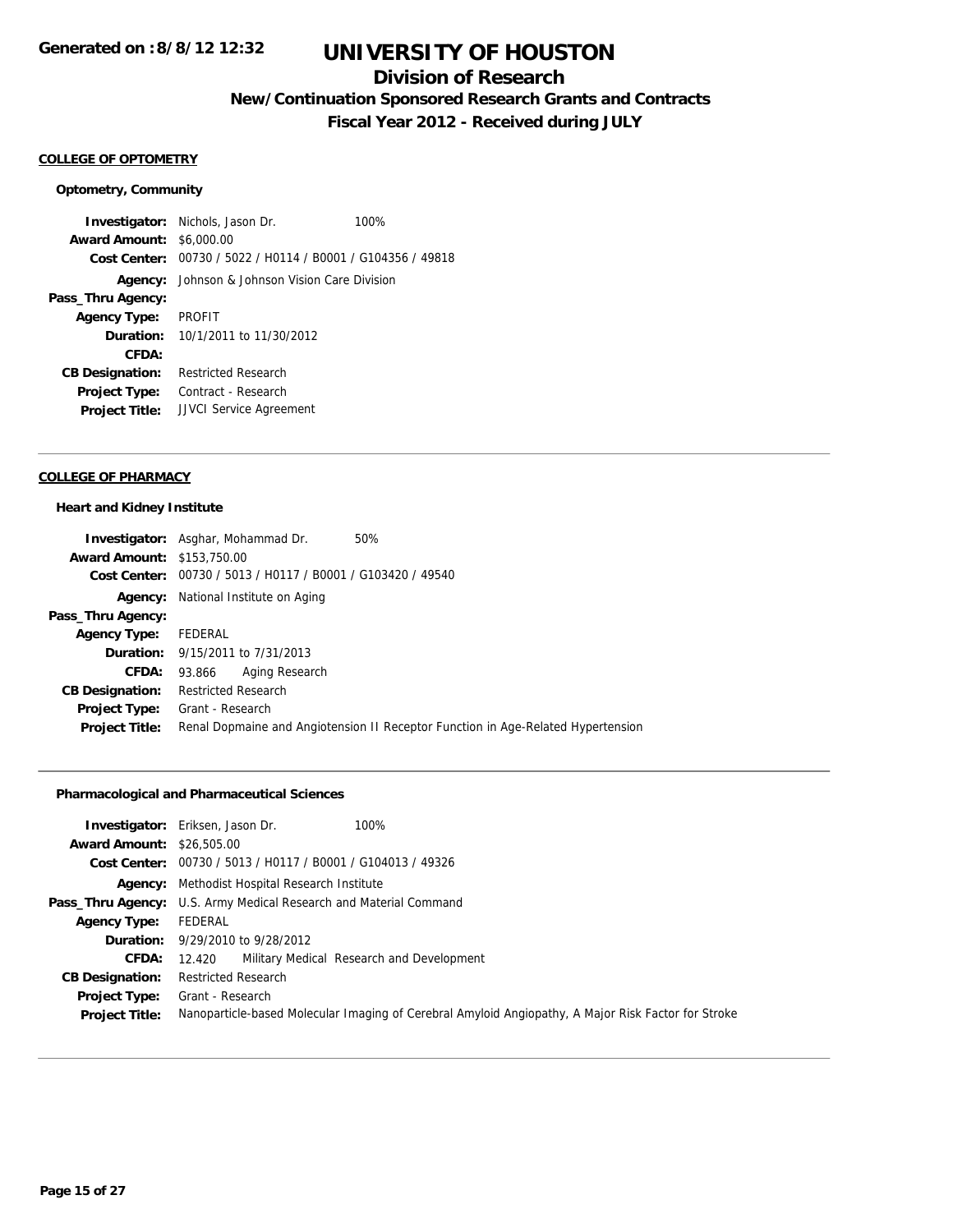## **Division of Research**

**New/Continuation Sponsored Research Grants and Contracts**

**Fiscal Year 2012 - Received during JULY**

## **COLLEGE OF OPTOMETRY**

#### **Optometry, Community**

**Investigator:** Nichols, Jason Dr. 100% **Award Amount:** \$6,000.00 **Cost Center:** 00730 / 5022 / H0114 / B0001 / G104356 / 49818 **Agency:** Johnson & Johnson Vision Care Division **Pass\_Thru Agency: Agency Type:** PROFIT **Duration:** 10/1/2011 to 11/30/2012 **CFDA: CB Designation:** Restricted Research **Project Type:** Contract - Research **Project Title:** JJVCI Service Agreement

### **COLLEGE OF PHARMACY**

#### **Heart and Kidney Institute**

|                                   | <b>Investigator:</b> Asghar, Mohammad Dr.<br>50%                                 |
|-----------------------------------|----------------------------------------------------------------------------------|
| <b>Award Amount: \$153,750.00</b> |                                                                                  |
|                                   | Cost Center: 00730 / 5013 / H0117 / B0001 / G103420 / 49540                      |
|                                   | <b>Agency:</b> National Institute on Aging                                       |
| Pass_Thru Agency:                 |                                                                                  |
| <b>Agency Type:</b>               | FEDERAL                                                                          |
|                                   | <b>Duration:</b> 9/15/2011 to 7/31/2013                                          |
| CFDA:                             | Aging Research<br>93.866                                                         |
| <b>CB Designation:</b>            | <b>Restricted Research</b>                                                       |
| <b>Project Type:</b>              | Grant - Research                                                                 |
| <b>Project Title:</b>             | Renal Dopmaine and Angiotension II Receptor Function in Age-Related Hypertension |

## **Pharmacological and Pharmaceutical Sciences**

|                                  | 100%<br><b>Investigator:</b> Eriksen, Jason Dr.                                                     |
|----------------------------------|-----------------------------------------------------------------------------------------------------|
| <b>Award Amount: \$26,505.00</b> |                                                                                                     |
|                                  | Cost Center: 00730 / 5013 / H0117 / B0001 / G104013 / 49326                                         |
|                                  | <b>Agency:</b> Methodist Hospital Research Institute                                                |
|                                  | Pass_Thru Agency: U.S. Army Medical Research and Material Command                                   |
| <b>Agency Type:</b>              | FEDERAL                                                                                             |
|                                  | <b>Duration:</b> 9/29/2010 to 9/28/2012                                                             |
| <b>CFDA:</b>                     | 12.420 Military Medical Research and Development                                                    |
| <b>CB Designation:</b>           | <b>Restricted Research</b>                                                                          |
|                                  | <b>Project Type:</b> Grant - Research                                                               |
| <b>Project Title:</b>            | Nanoparticle-based Molecular Imaging of Cerebral Amyloid Angiopathy, A Major Risk Factor for Stroke |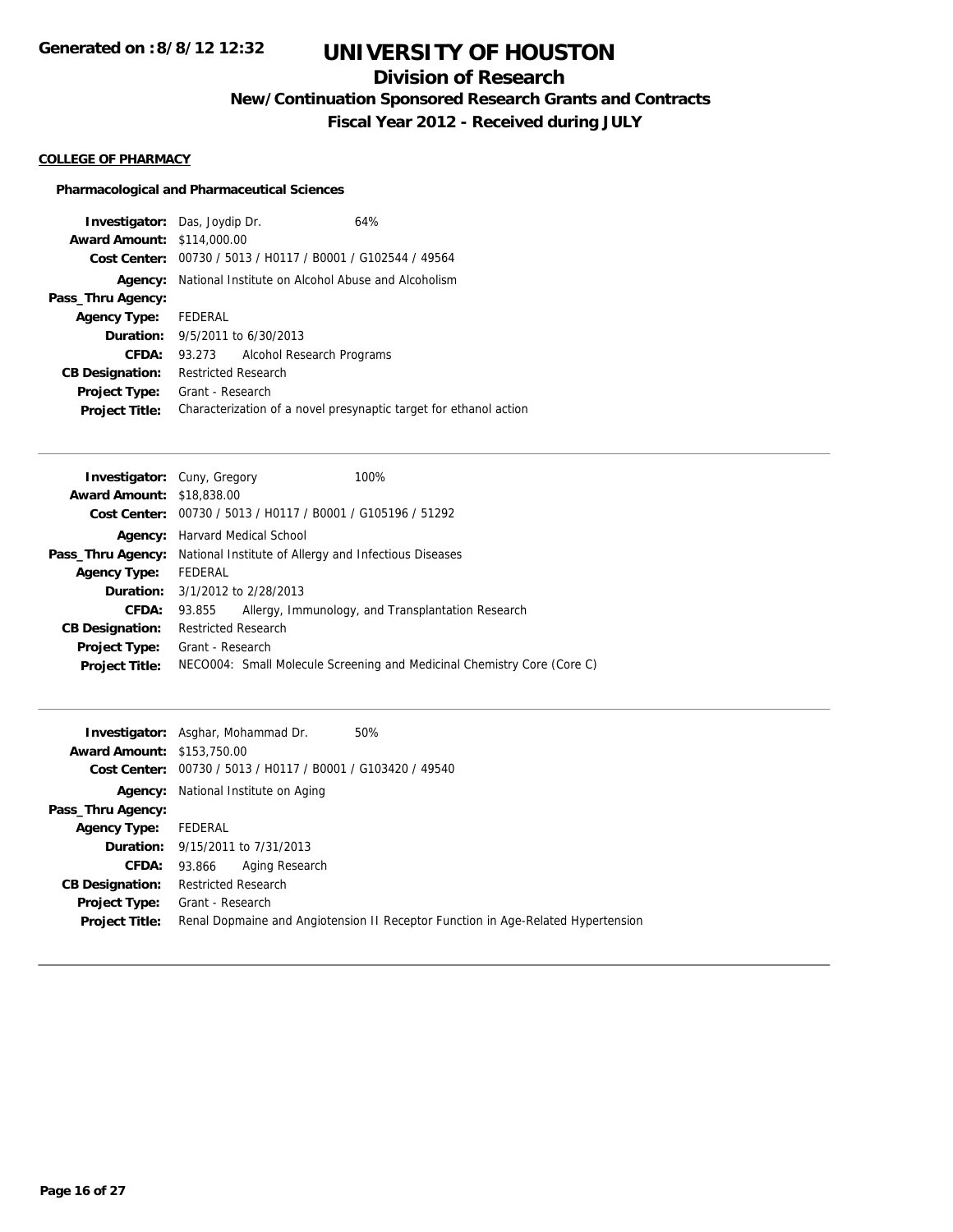# **Division of Research**

**New/Continuation Sponsored Research Grants and Contracts**

**Fiscal Year 2012 - Received during JULY**

### **COLLEGE OF PHARMACY**

## **Pharmacological and Pharmaceutical Sciences**

|                                   | <b>Investigator:</b> Das, Joydip Dr.   | 64%                                                               |  |
|-----------------------------------|----------------------------------------|-------------------------------------------------------------------|--|
| <b>Award Amount: \$114,000.00</b> |                                        |                                                                   |  |
|                                   |                                        | Cost Center: 00730 / 5013 / H0117 / B0001 / G102544 / 49564       |  |
|                                   |                                        | <b>Agency:</b> National Institute on Alcohol Abuse and Alcoholism |  |
| Pass_Thru Agency:                 |                                        |                                                                   |  |
| <b>Agency Type:</b>               | FEDERAL                                |                                                                   |  |
|                                   | <b>Duration:</b> 9/5/2011 to 6/30/2013 |                                                                   |  |
| CFDA:                             | 93.273                                 | Alcohol Research Programs                                         |  |
| <b>CB Designation:</b>            | <b>Restricted Research</b>             |                                                                   |  |
| <b>Project Type:</b>              | Grant - Research                       |                                                                   |  |
| <b>Project Title:</b>             |                                        | Characterization of a novel presynaptic target for ethanol action |  |

|                                                             |  | 100%                                                                                                                                                                                                                                                                                          |
|-------------------------------------------------------------|--|-----------------------------------------------------------------------------------------------------------------------------------------------------------------------------------------------------------------------------------------------------------------------------------------------|
|                                                             |  |                                                                                                                                                                                                                                                                                               |
| Cost Center: 00730 / 5013 / H0117 / B0001 / G105196 / 51292 |  |                                                                                                                                                                                                                                                                                               |
|                                                             |  |                                                                                                                                                                                                                                                                                               |
|                                                             |  |                                                                                                                                                                                                                                                                                               |
| FEDERAL                                                     |  |                                                                                                                                                                                                                                                                                               |
|                                                             |  |                                                                                                                                                                                                                                                                                               |
| 93.855                                                      |  | Allergy, Immunology, and Transplantation Research                                                                                                                                                                                                                                             |
|                                                             |  |                                                                                                                                                                                                                                                                                               |
|                                                             |  |                                                                                                                                                                                                                                                                                               |
|                                                             |  | NECO004: Small Molecule Screening and Medicinal Chemistry Core (Core C)                                                                                                                                                                                                                       |
|                                                             |  | <b>Investigator:</b> Cuny, Gregory<br><b>Award Amount: \$18,838,00</b><br><b>Agency:</b> Harvard Medical School<br><b>Pass_Thru Agency:</b> National Institute of Allergy and Infectious Diseases<br><b>Duration:</b> 3/1/2012 to 2/28/2013<br><b>Restricted Research</b><br>Grant - Research |

|                                   | <b>Investigator:</b> Asghar, Mohammad Dr.<br>50%                                 |
|-----------------------------------|----------------------------------------------------------------------------------|
| <b>Award Amount: \$153,750.00</b> |                                                                                  |
|                                   | Cost Center: 00730 / 5013 / H0117 / B0001 / G103420 / 49540                      |
| Agency:                           | National Institute on Aging                                                      |
| Pass_Thru Agency:                 |                                                                                  |
| <b>Agency Type:</b>               | FEDERAL                                                                          |
|                                   | <b>Duration:</b> 9/15/2011 to 7/31/2013                                          |
| CFDA:                             | Aging Research<br>93.866                                                         |
| <b>CB Designation:</b>            | <b>Restricted Research</b>                                                       |
| <b>Project Type:</b>              | Grant - Research                                                                 |
| <b>Project Title:</b>             | Renal Dopmaine and Angiotension II Receptor Function in Age-Related Hypertension |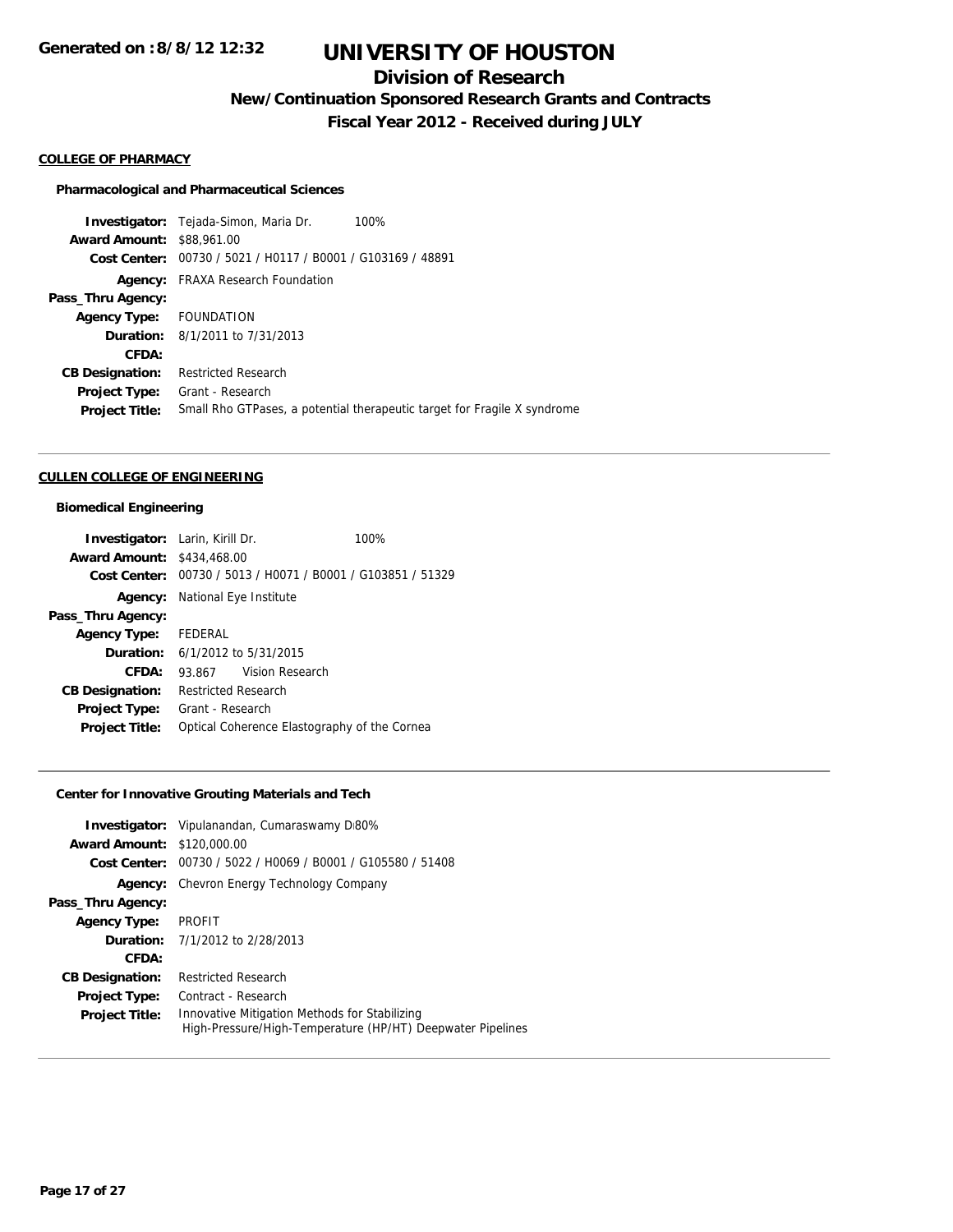# **Division of Research**

**New/Continuation Sponsored Research Grants and Contracts**

**Fiscal Year 2012 - Received during JULY**

### **COLLEGE OF PHARMACY**

#### **Pharmacological and Pharmaceutical Sciences**

**Investigator:** Tejada-Simon, Maria Dr. 100% **Award Amount:** \$88,961.00 **Cost Center:** 00730 / 5021 / H0117 / B0001 / G103169 / 48891 **Agency:** FRAXA Research Foundation **Pass\_Thru Agency: Agency Type:** FOUNDATION **Duration:** 8/1/2011 to 7/31/2013 **CFDA: CB Designation:** Restricted Research **Project Type:** Grant - Research **Project Title:** Small Rho GTPases, a potential therapeutic target for Fragile X syndrome

#### **CULLEN COLLEGE OF ENGINEERING**

#### **Biomedical Engineering**

| <b>Investigator:</b> Larin, Kirill Dr. |                                            |                                              | 100%                                                        |
|----------------------------------------|--------------------------------------------|----------------------------------------------|-------------------------------------------------------------|
| <b>Award Amount: \$434,468.00</b>      |                                            |                                              |                                                             |
|                                        |                                            |                                              | Cost Center: 00730 / 5013 / H0071 / B0001 / G103851 / 51329 |
|                                        | <b>Agency:</b> National Eye Institute      |                                              |                                                             |
| Pass_Thru Agency:                      |                                            |                                              |                                                             |
| <b>Agency Type:</b> FEDERAL            |                                            |                                              |                                                             |
|                                        | <b>Duration:</b> $6/1/2012$ to $5/31/2015$ |                                              |                                                             |
| CFDA:                                  | 93.867 Vision Research                     |                                              |                                                             |
| <b>CB Designation:</b>                 | <b>Restricted Research</b>                 |                                              |                                                             |
| Project Type:                          | Grant - Research                           |                                              |                                                             |
| <b>Project Title:</b>                  |                                            | Optical Coherence Elastography of the Cornea |                                                             |

## **Center for Innovative Grouting Materials and Tech**

|                                   | <b>Investigator:</b> Vipulanandan, Cumaraswamy D80%                                                         |
|-----------------------------------|-------------------------------------------------------------------------------------------------------------|
| <b>Award Amount: \$120,000.00</b> |                                                                                                             |
| Cost Center:                      | 00730 / 5022 / H0069 / B0001 / G105580 / 51408                                                              |
| Agency:                           | Chevron Energy Technology Company                                                                           |
| Pass_Thru Agency:                 |                                                                                                             |
| <b>Agency Type:</b>               | <b>PROFIT</b>                                                                                               |
|                                   | <b>Duration:</b> $7/1/2012$ to $2/28/2013$                                                                  |
| CFDA:                             |                                                                                                             |
| <b>CB Designation:</b>            | <b>Restricted Research</b>                                                                                  |
| <b>Project Type:</b>              | Contract - Research                                                                                         |
| <b>Project Title:</b>             | Innovative Mitigation Methods for Stabilizing<br>High-Pressure/High-Temperature (HP/HT) Deepwater Pipelines |
|                                   |                                                                                                             |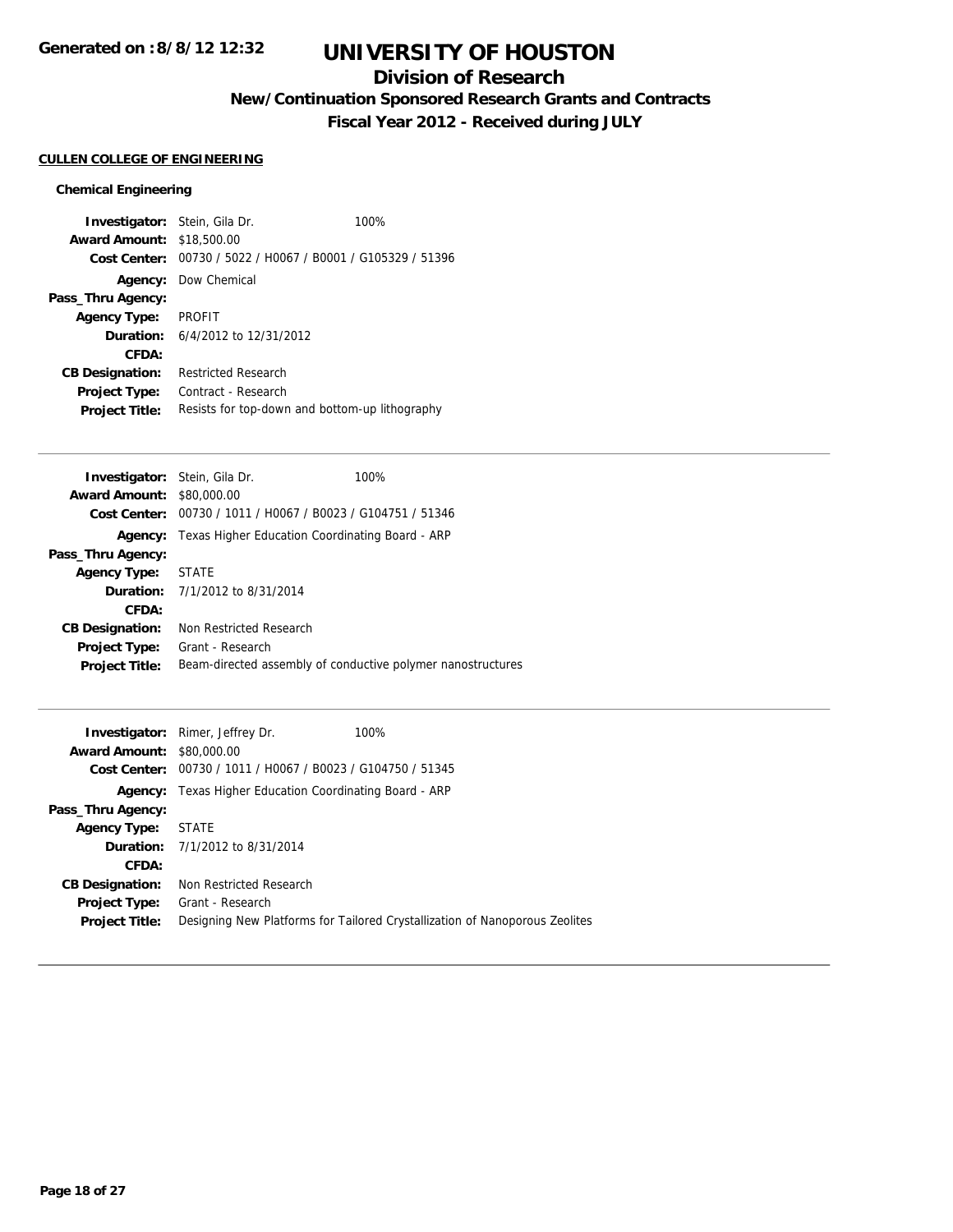## **Division of Research**

**New/Continuation Sponsored Research Grants and Contracts**

**Fiscal Year 2012 - Received during JULY**

## **CULLEN COLLEGE OF ENGINEERING**

## **Chemical Engineering**

| <b>Investigator:</b> Stein, Gila Dr.<br><b>Award Amount:</b> | \$18,500.00                                 | 100%                                                        |
|--------------------------------------------------------------|---------------------------------------------|-------------------------------------------------------------|
|                                                              |                                             | Cost Center: 00730 / 5022 / H0067 / B0001 / G105329 / 51396 |
|                                                              | <b>Agency:</b> Dow Chemical                 |                                                             |
| Pass_Thru Agency:                                            |                                             |                                                             |
| <b>Agency Type:</b>                                          | <b>PROFIT</b>                               |                                                             |
|                                                              | <b>Duration:</b> $6/4/2012$ to $12/31/2012$ |                                                             |
| CFDA:                                                        |                                             |                                                             |
| <b>CB Designation:</b>                                       | <b>Restricted Research</b>                  |                                                             |
| <b>Project Type:</b>                                         | Contract - Research                         |                                                             |
| <b>Project Title:</b>                                        |                                             | Resists for top-down and bottom-up lithography              |

| <b>Investigator:</b> Stein, Gila Dr. |                                                                | 100% |
|--------------------------------------|----------------------------------------------------------------|------|
| <b>Award Amount: \$80,000.00</b>     |                                                                |      |
|                                      | Cost Center: 00730 / 1011 / H0067 / B0023 / G104751 / 51346    |      |
|                                      | <b>Agency:</b> Texas Higher Education Coordinating Board - ARP |      |
| Pass_Thru Agency:                    |                                                                |      |
| Agency Type:                         | STATE                                                          |      |
|                                      | <b>Duration:</b> $7/1/2012$ to $8/31/2014$                     |      |
| CFDA:                                |                                                                |      |
| <b>CB Designation:</b>               | Non Restricted Research                                        |      |
| Project Type:                        | Grant - Research                                               |      |
| <b>Project Title:</b>                | Beam-directed assembly of conductive polymer nanostructures    |      |
|                                      |                                                                |      |

|                                  | 100%<br><b>Investigator:</b> Rimer, Jeffrey Dr.                             |
|----------------------------------|-----------------------------------------------------------------------------|
| <b>Award Amount: \$80,000.00</b> |                                                                             |
|                                  | Cost Center: 00730 / 1011 / H0067 / B0023 / G104750 / 51345                 |
| Agency:                          | Texas Higher Education Coordinating Board - ARP                             |
| Pass_Thru Agency:                |                                                                             |
| <b>Agency Type:</b>              | <b>STATE</b>                                                                |
|                                  | <b>Duration:</b> 7/1/2012 to 8/31/2014                                      |
| CFDA:                            |                                                                             |
| <b>CB Designation:</b>           | Non Restricted Research                                                     |
| <b>Project Type:</b>             | Grant - Research                                                            |
| <b>Project Title:</b>            | Designing New Platforms for Tailored Crystallization of Nanoporous Zeolites |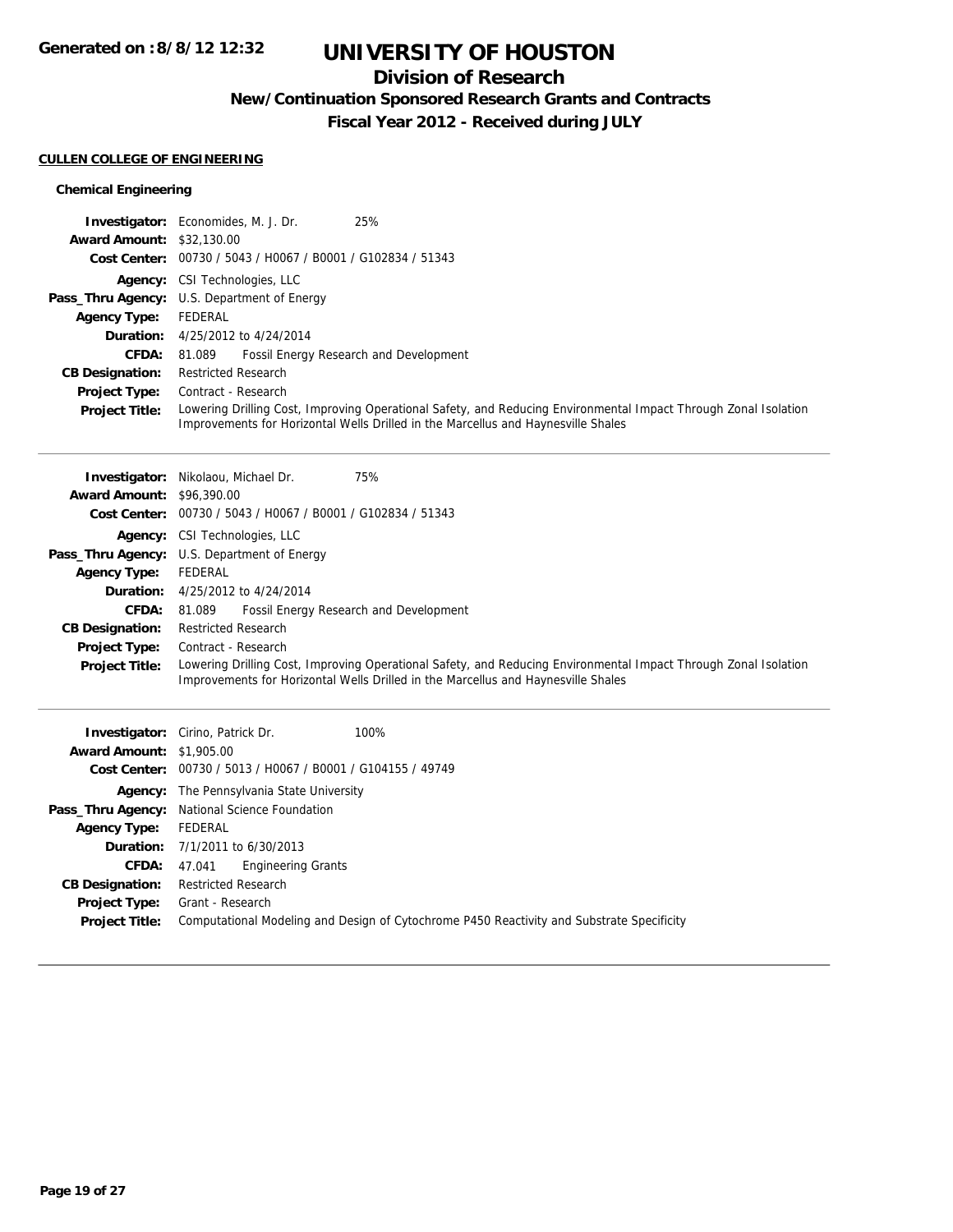## **Division of Research**

**New/Continuation Sponsored Research Grants and Contracts**

**Fiscal Year 2012 - Received during JULY**

### **CULLEN COLLEGE OF ENGINEERING**

## **Chemical Engineering**

|                                  | 25%<br><b>Investigator:</b> Economides, M. J. Dr.                                                                                                                                                    |
|----------------------------------|------------------------------------------------------------------------------------------------------------------------------------------------------------------------------------------------------|
| <b>Award Amount: \$32,130.00</b> |                                                                                                                                                                                                      |
|                                  | Cost Center: 00730 / 5043 / H0067 / B0001 / G102834 / 51343                                                                                                                                          |
|                                  | <b>Agency:</b> CSI Technologies, LLC                                                                                                                                                                 |
|                                  | <b>Pass_Thru Agency:</b> U.S. Department of Energy                                                                                                                                                   |
| <b>Agency Type:</b>              | FEDERAL                                                                                                                                                                                              |
|                                  | <b>Duration:</b> 4/25/2012 to 4/24/2014                                                                                                                                                              |
| <b>CFDA:</b>                     | Fossil Energy Research and Development<br>81.089                                                                                                                                                     |
| <b>CB Designation:</b>           | <b>Restricted Research</b>                                                                                                                                                                           |
| <b>Project Type:</b>             | Contract - Research                                                                                                                                                                                  |
| <b>Project Title:</b>            | Lowering Drilling Cost, Improving Operational Safety, and Reducing Environmental Impact Through Zonal Isolation<br>Improvements for Horizontal Wells Drilled in the Marcellus and Haynesville Shales |

|                                  | 75%<br><b>Investigator:</b> Nikolaou, Michael Dr.                                                                                                                                                    |  |  |
|----------------------------------|------------------------------------------------------------------------------------------------------------------------------------------------------------------------------------------------------|--|--|
| <b>Award Amount: \$96,390.00</b> |                                                                                                                                                                                                      |  |  |
|                                  | Cost Center: 00730 / 5043 / H0067 / B0001 / G102834 / 51343                                                                                                                                          |  |  |
|                                  | <b>Agency:</b> CSI Technologies, LLC                                                                                                                                                                 |  |  |
|                                  | <b>Pass_Thru Agency:</b> U.S. Department of Energy                                                                                                                                                   |  |  |
| <b>Agency Type:</b>              | FEDERAL                                                                                                                                                                                              |  |  |
|                                  | <b>Duration:</b> $4/25/2012$ to $4/24/2014$                                                                                                                                                          |  |  |
| <b>CFDA:</b>                     | Fossil Energy Research and Development<br>81.089                                                                                                                                                     |  |  |
| <b>CB Designation:</b>           | <b>Restricted Research</b>                                                                                                                                                                           |  |  |
| <b>Project Type:</b>             | Contract - Research                                                                                                                                                                                  |  |  |
| <b>Project Title:</b>            | Lowering Drilling Cost, Improving Operational Safety, and Reducing Environmental Impact Through Zonal Isolation<br>Improvements for Horizontal Wells Drilled in the Marcellus and Haynesville Shales |  |  |

| <b>Award Amount: \$1,905.00</b>               | 100%<br><b>Investigator:</b> Cirino, Patrick Dr.<br>Cost Center: 00730 / 5013 / H0067 / B0001 / G104155 / 49749 |  |  |
|-----------------------------------------------|-----------------------------------------------------------------------------------------------------------------|--|--|
|                                               | <b>Agency:</b> The Pennsylvania State University                                                                |  |  |
|                                               | Pass_Thru Agency: National Science Foundation                                                                   |  |  |
| <b>Agency Type:</b>                           | FEDERAL                                                                                                         |  |  |
|                                               | <b>Duration:</b> $7/1/2011$ to $6/30/2013$                                                                      |  |  |
| <b>CFDA:</b>                                  | Engineering Grants<br>47.041                                                                                    |  |  |
| <b>CB Designation:</b>                        | <b>Restricted Research</b>                                                                                      |  |  |
| <b>Project Type:</b><br><b>Project Title:</b> | Grant - Research<br>Computational Modeling and Design of Cytochrome P450 Reactivity and Substrate Specificity   |  |  |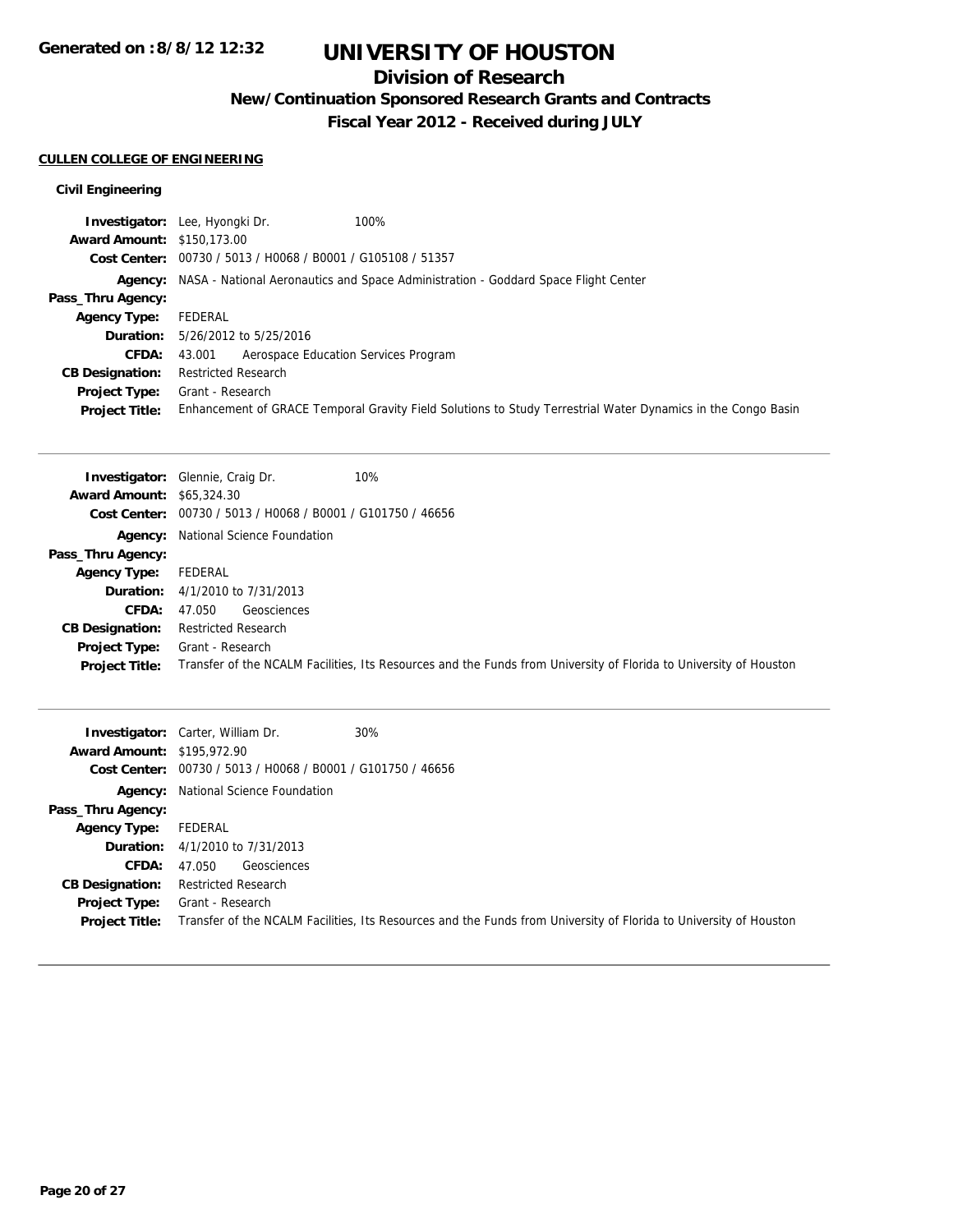**Generated on :8/8/12 12:32**

# **UNIVERSITY OF HOUSTON**

## **Division of Research**

**New/Continuation Sponsored Research Grants and Contracts**

**Fiscal Year 2012 - Received during JULY**

## **CULLEN COLLEGE OF ENGINEERING**

## **Civil Engineering**

|                                   | 100%<br>Investigator: Lee, Hyongki Dr.                                                                       |  |  |
|-----------------------------------|--------------------------------------------------------------------------------------------------------------|--|--|
| <b>Award Amount: \$150,173.00</b> |                                                                                                              |  |  |
|                                   | Cost Center: 00730 / 5013 / H0068 / B0001 / G105108 / 51357                                                  |  |  |
|                                   | <b>Agency:</b> NASA - National Aeronautics and Space Administration - Goddard Space Flight Center            |  |  |
| Pass_Thru Agency:                 |                                                                                                              |  |  |
| <b>Agency Type:</b>               | FEDERAL                                                                                                      |  |  |
|                                   | <b>Duration:</b> 5/26/2012 to 5/25/2016                                                                      |  |  |
| <b>CFDA:</b>                      | Aerospace Education Services Program<br>43.001                                                               |  |  |
| <b>CB Designation:</b>            | <b>Restricted Research</b>                                                                                   |  |  |
| Project Type:                     | Grant - Research                                                                                             |  |  |
| <b>Project Title:</b>             | Enhancement of GRACE Temporal Gravity Field Solutions to Study Terrestrial Water Dynamics in the Congo Basin |  |  |

|                                  | 10%<br><b>Investigator:</b> Glennie, Craig Dr.                                                                    |  |  |
|----------------------------------|-------------------------------------------------------------------------------------------------------------------|--|--|
| <b>Award Amount: \$65,324.30</b> |                                                                                                                   |  |  |
|                                  | Cost Center: 00730 / 5013 / H0068 / B0001 / G101750 / 46656                                                       |  |  |
|                                  | <b>Agency:</b> National Science Foundation                                                                        |  |  |
| Pass_Thru Agency:                |                                                                                                                   |  |  |
| <b>Agency Type:</b>              | FEDERAL                                                                                                           |  |  |
|                                  | <b>Duration:</b> 4/1/2010 to 7/31/2013                                                                            |  |  |
| <b>CFDA:</b>                     | Geosciences<br>47.050                                                                                             |  |  |
| <b>CB Designation:</b>           | <b>Restricted Research</b>                                                                                        |  |  |
| Project Type:                    | Grant - Research                                                                                                  |  |  |
| <b>Project Title:</b>            | Transfer of the NCALM Facilities, Its Resources and the Funds from University of Florida to University of Houston |  |  |

| <b>Award Amount: \$195,972.90</b> | 30%<br><b>Investigator:</b> Carter, William Dr.<br>Cost Center: 00730 / 5013 / H0068 / B0001 / G101750 / 46656    |
|-----------------------------------|-------------------------------------------------------------------------------------------------------------------|
|                                   | <b>Agency:</b> National Science Foundation                                                                        |
| Pass_Thru Agency:                 |                                                                                                                   |
| Agency Type:                      | FEDERAL                                                                                                           |
|                                   | <b>Duration:</b> 4/1/2010 to 7/31/2013                                                                            |
| <b>CFDA:</b>                      | Geosciences<br>47.050                                                                                             |
| <b>CB Designation:</b>            | <b>Restricted Research</b>                                                                                        |
| <b>Project Type:</b>              | Grant - Research                                                                                                  |
| <b>Project Title:</b>             | Transfer of the NCALM Facilities, Its Resources and the Funds from University of Florida to University of Houston |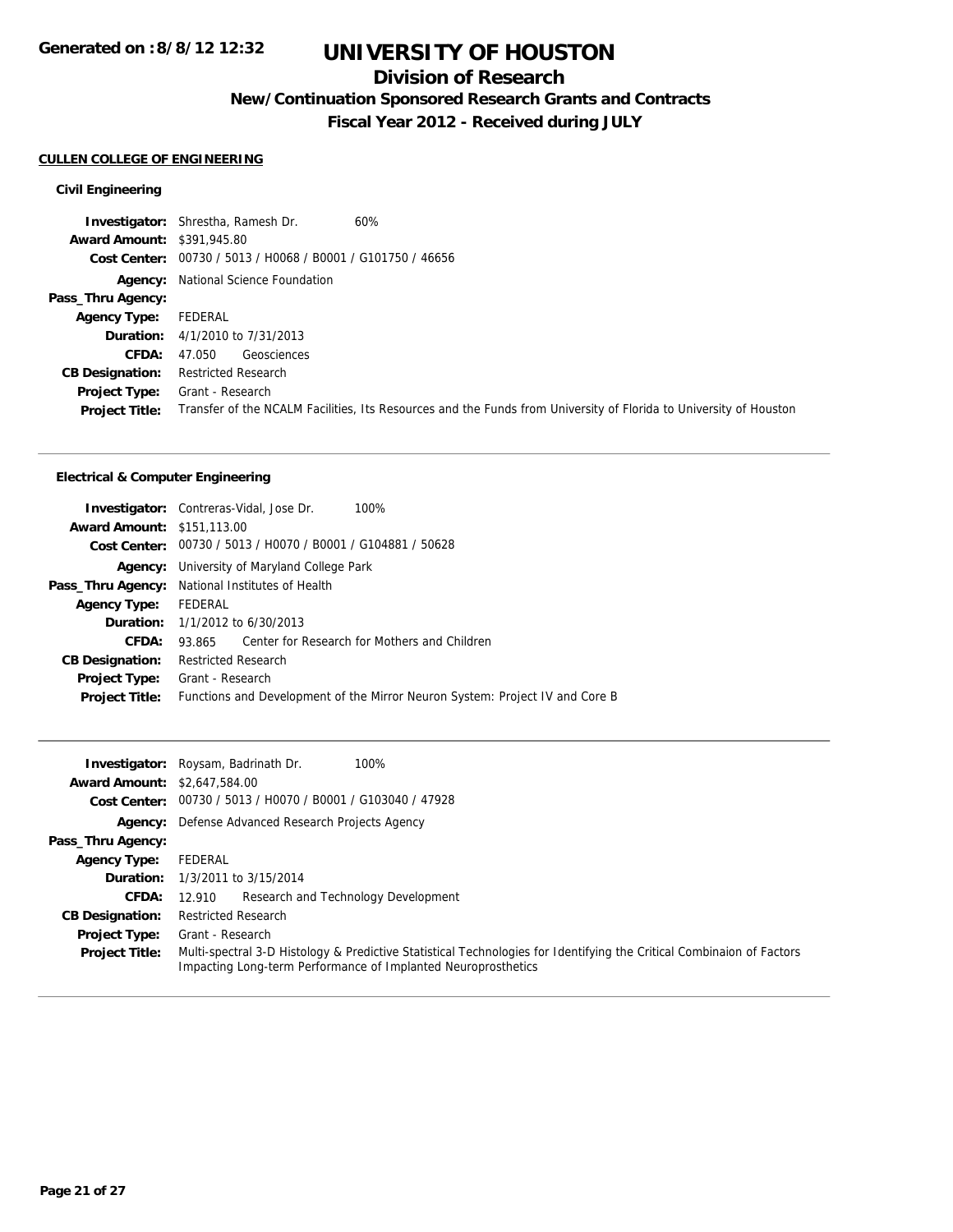## **Division of Research**

**New/Continuation Sponsored Research Grants and Contracts**

**Fiscal Year 2012 - Received during JULY**

### **CULLEN COLLEGE OF ENGINEERING**

## **Civil Engineering**

|                                   | <b>Investigator:</b> Shrestha, Ramesh Dr.<br>60%                                                                  |  |
|-----------------------------------|-------------------------------------------------------------------------------------------------------------------|--|
| <b>Award Amount: \$391,945.80</b> |                                                                                                                   |  |
|                                   | Cost Center: 00730 / 5013 / H0068 / B0001 / G101750 / 46656                                                       |  |
|                                   | <b>Agency:</b> National Science Foundation                                                                        |  |
| Pass_Thru Agency:                 |                                                                                                                   |  |
| <b>Agency Type:</b>               | FEDERAL                                                                                                           |  |
|                                   | <b>Duration:</b> 4/1/2010 to 7/31/2013                                                                            |  |
| <b>CFDA:</b>                      | Geosciences<br>47.050                                                                                             |  |
| <b>CB Designation:</b>            | <b>Restricted Research</b>                                                                                        |  |
| <b>Project Type:</b>              | Grant - Research                                                                                                  |  |
| <b>Project Title:</b>             | Transfer of the NCALM Facilities, Its Resources and the Funds from University of Florida to University of Houston |  |

## **Electrical & Computer Engineering**

|                                   | 100%<br><b>Investigator:</b> Contreras-Vidal, Jose Dr.                       |  |
|-----------------------------------|------------------------------------------------------------------------------|--|
| <b>Award Amount: \$151,113.00</b> |                                                                              |  |
|                                   | Cost Center: 00730 / 5013 / H0070 / B0001 / G104881 / 50628                  |  |
|                                   | <b>Agency:</b> University of Maryland College Park                           |  |
|                                   | <b>Pass_Thru Agency:</b> National Institutes of Health                       |  |
| <b>Agency Type:</b>               | FEDERAL                                                                      |  |
|                                   | <b>Duration:</b> $1/1/2012$ to $6/30/2013$                                   |  |
| CFDA:                             | 93.865 Center for Research for Mothers and Children                          |  |
| <b>CB Designation:</b>            | <b>Restricted Research</b>                                                   |  |
| <b>Project Type:</b>              | Grant - Research                                                             |  |
| <b>Project Title:</b>             | Functions and Development of the Mirror Neuron System: Project IV and Core B |  |
|                                   |                                                                              |  |

|                                     | 100%<br><b>Investigator:</b> Roysam, Badrinath Dr.                                                                                                                                     |  |  |
|-------------------------------------|----------------------------------------------------------------------------------------------------------------------------------------------------------------------------------------|--|--|
| <b>Award Amount: \$2,647,584.00</b> |                                                                                                                                                                                        |  |  |
|                                     | Cost Center: 00730 / 5013 / H0070 / B0001 / G103040 / 47928                                                                                                                            |  |  |
|                                     | <b>Agency:</b> Defense Advanced Research Projects Agency                                                                                                                               |  |  |
| Pass_Thru Agency:                   |                                                                                                                                                                                        |  |  |
| <b>Agency Type:</b>                 | FEDERAL                                                                                                                                                                                |  |  |
|                                     | <b>Duration:</b> 1/3/2011 to 3/15/2014                                                                                                                                                 |  |  |
| <b>CFDA:</b>                        | Research and Technology Development<br>12.910                                                                                                                                          |  |  |
| <b>CB Designation:</b>              | <b>Restricted Research</b>                                                                                                                                                             |  |  |
| <b>Project Type:</b>                | Grant - Research                                                                                                                                                                       |  |  |
| <b>Project Title:</b>               | Multi-spectral 3-D Histology & Predictive Statistical Technologies for Identifying the Critical Combinaion of Factors<br>Impacting Long-term Performance of Implanted Neuroprosthetics |  |  |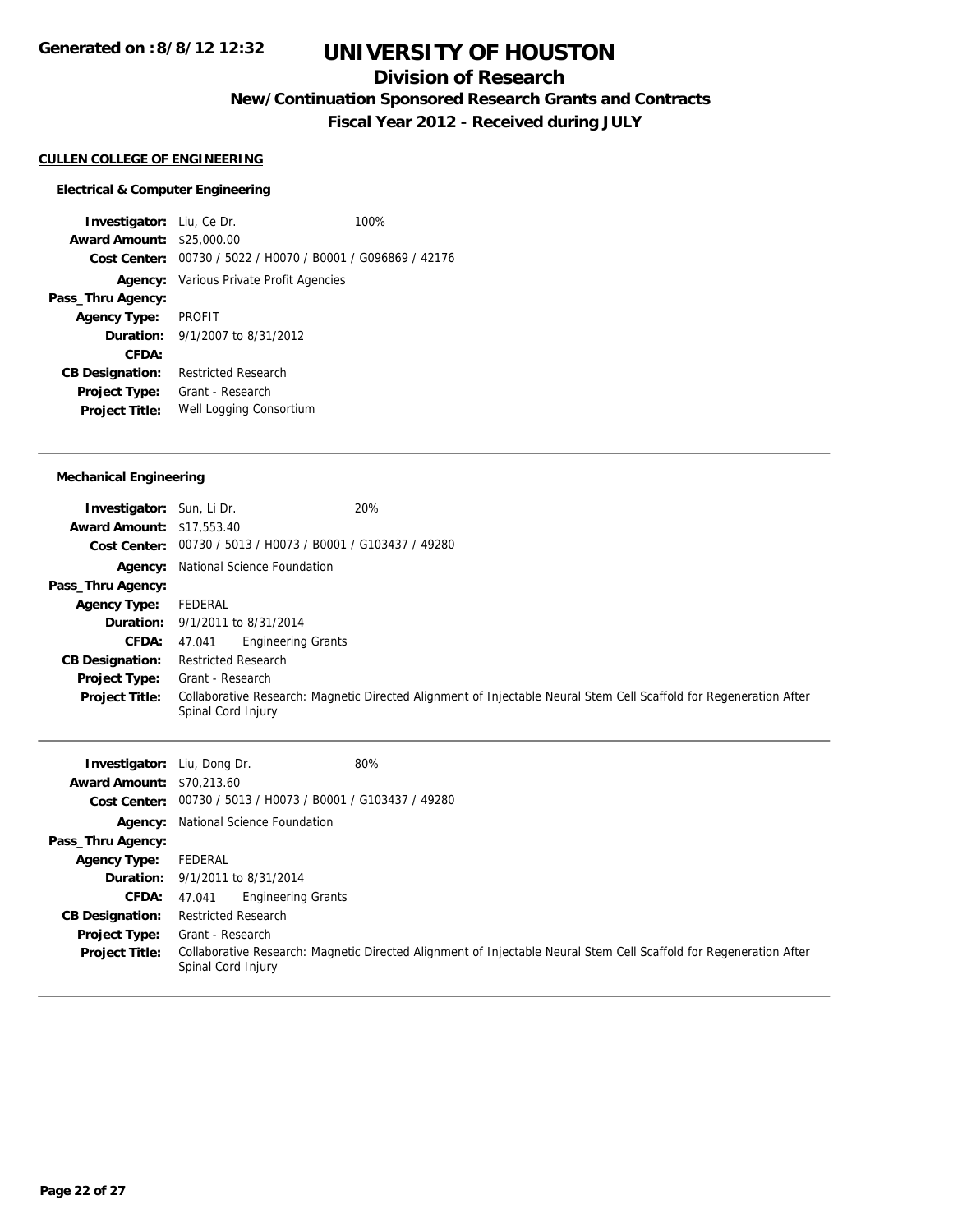## **Division of Research**

**New/Continuation Sponsored Research Grants and Contracts**

**Fiscal Year 2012 - Received during JULY**

## **CULLEN COLLEGE OF ENGINEERING**

#### **Electrical & Computer Engineering**

**Investigator:** Liu, Ce Dr. 100% **Award Amount:** \$25,000.00 **Cost Center:** 00730 / 5022 / H0070 / B0001 / G096869 / 42176 **Agency:** Various Private Profit Agencies **Pass\_Thru Agency: Agency Type:** PROFIT **Duration:** 9/1/2007 to 8/31/2012 **CFDA: CB Designation:** Restricted Research **Project Type:** Grant - Research **Project Title:** Well Logging Consortium

#### **Mechanical Engineering**

| <b>Investigator:</b> Sun, Li Dr.<br><b>Award Amount: \$17,553.40</b> | 20%                                                                                                                                      |  |  |
|----------------------------------------------------------------------|------------------------------------------------------------------------------------------------------------------------------------------|--|--|
|                                                                      | Cost Center: 00730 / 5013 / H0073 / B0001 / G103437 / 49280                                                                              |  |  |
|                                                                      | <b>Agency:</b> National Science Foundation                                                                                               |  |  |
| Pass_Thru Agency:                                                    |                                                                                                                                          |  |  |
| <b>Agency Type:</b>                                                  | FEDERAL                                                                                                                                  |  |  |
|                                                                      | <b>Duration:</b> 9/1/2011 to 8/31/2014                                                                                                   |  |  |
| <b>CFDA:</b>                                                         | <b>Engineering Grants</b><br>47.041                                                                                                      |  |  |
| <b>CB Designation:</b>                                               | <b>Restricted Research</b>                                                                                                               |  |  |
| <b>Project Type:</b>                                                 | Grant - Research                                                                                                                         |  |  |
| <b>Project Title:</b>                                                | Collaborative Research: Magnetic Directed Alignment of Injectable Neural Stem Cell Scaffold for Regeneration After<br>Spinal Cord Injury |  |  |

| Investigator:<br><b>Award Amount: \$70,213.60</b> | 80%<br>Liu, Dong Dr.                                                                                                                     |  |  |
|---------------------------------------------------|------------------------------------------------------------------------------------------------------------------------------------------|--|--|
|                                                   | Cost Center: 00730 / 5013 / H0073 / B0001 / G103437 / 49280                                                                              |  |  |
| Agency:                                           | National Science Foundation                                                                                                              |  |  |
| Pass_Thru Agency:                                 |                                                                                                                                          |  |  |
| <b>Agency Type:</b>                               | FEDERAL                                                                                                                                  |  |  |
|                                                   | <b>Duration:</b> 9/1/2011 to 8/31/2014                                                                                                   |  |  |
| <b>CFDA:</b>                                      | <b>Engineering Grants</b><br>47.041                                                                                                      |  |  |
| <b>CB Designation:</b>                            | <b>Restricted Research</b>                                                                                                               |  |  |
| Project Type:                                     | Grant - Research                                                                                                                         |  |  |
| <b>Project Title:</b>                             | Collaborative Research: Magnetic Directed Alignment of Injectable Neural Stem Cell Scaffold for Regeneration After<br>Spinal Cord Injury |  |  |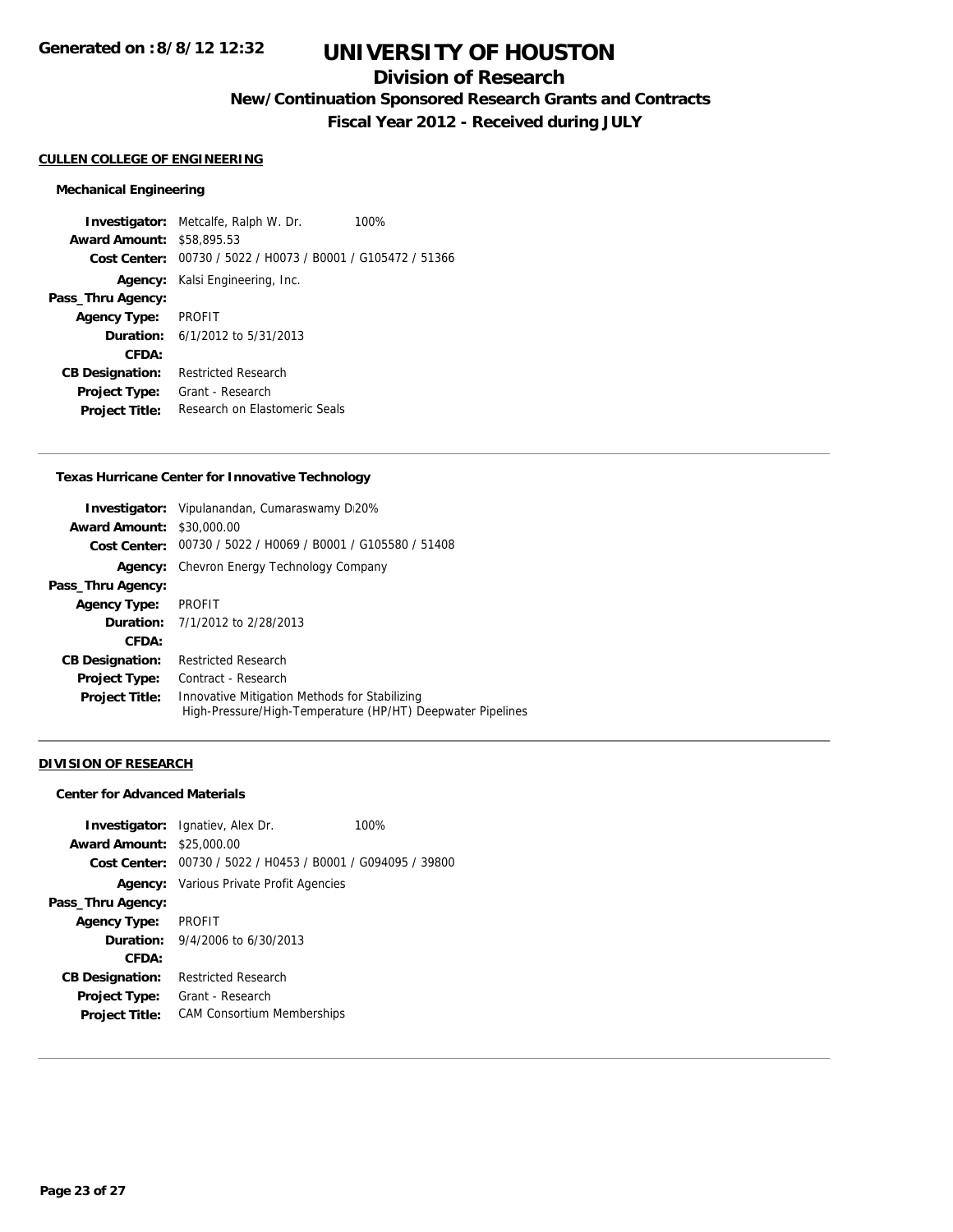## **Division of Research**

**New/Continuation Sponsored Research Grants and Contracts**

**Fiscal Year 2012 - Received during JULY**

## **CULLEN COLLEGE OF ENGINEERING**

#### **Mechanical Engineering**

**Investigator:** Metcalfe, Ralph W. Dr. 100% **Award Amount:** \$58,895.53 **Cost Center:** 00730 / 5022 / H0073 / B0001 / G105472 / 51366 **Agency:** Kalsi Engineering, Inc. **Pass\_Thru Agency: Agency Type:** PROFIT **Duration:** 6/1/2012 to 5/31/2013 **CFDA: CB Designation:** Restricted Research **Project Type:** Grant - Research **Project Title:** Research on Elastomeric Seals

#### **Texas Hurricane Center for Innovative Technology**

|                        | <b>Investigator:</b> Vipulanandan, Cumaraswamy D20%                                                         |
|------------------------|-------------------------------------------------------------------------------------------------------------|
| <b>Award Amount:</b>   | \$30,000.00                                                                                                 |
| Cost Center:           | 00730 / 5022 / H0069 / B0001 / G105580 / 51408                                                              |
| Agency:                | Chevron Energy Technology Company                                                                           |
| Pass_Thru Agency:      |                                                                                                             |
| <b>Agency Type:</b>    | <b>PROFIT</b>                                                                                               |
|                        | <b>Duration:</b> 7/1/2012 to 2/28/2013                                                                      |
| CFDA:                  |                                                                                                             |
| <b>CB Designation:</b> | <b>Restricted Research</b>                                                                                  |
| <b>Project Type:</b>   | Contract - Research                                                                                         |
| <b>Project Title:</b>  | Innovative Mitigation Methods for Stabilizing<br>High-Pressure/High-Temperature (HP/HT) Deepwater Pipelines |

#### **DIVISION OF RESEARCH**

### **Center for Advanced Materials**

|                                  | <b>Investigator:</b> Ignatiev, Alex Dr.                     | 100% |
|----------------------------------|-------------------------------------------------------------|------|
| <b>Award Amount: \$25,000.00</b> |                                                             |      |
|                                  | Cost Center: 00730 / 5022 / H0453 / B0001 / G094095 / 39800 |      |
|                                  | <b>Agency:</b> Various Private Profit Agencies              |      |
| Pass_Thru Agency:                |                                                             |      |
| <b>Agency Type:</b>              | <b>PROFIT</b>                                               |      |
|                                  | <b>Duration:</b> $9/4/2006$ to $6/30/2013$                  |      |
| CFDA:                            |                                                             |      |
| <b>CB Designation:</b>           | <b>Restricted Research</b>                                  |      |
| <b>Project Type:</b>             | Grant - Research                                            |      |
| <b>Project Title:</b>            | <b>CAM Consortium Memberships</b>                           |      |
|                                  |                                                             |      |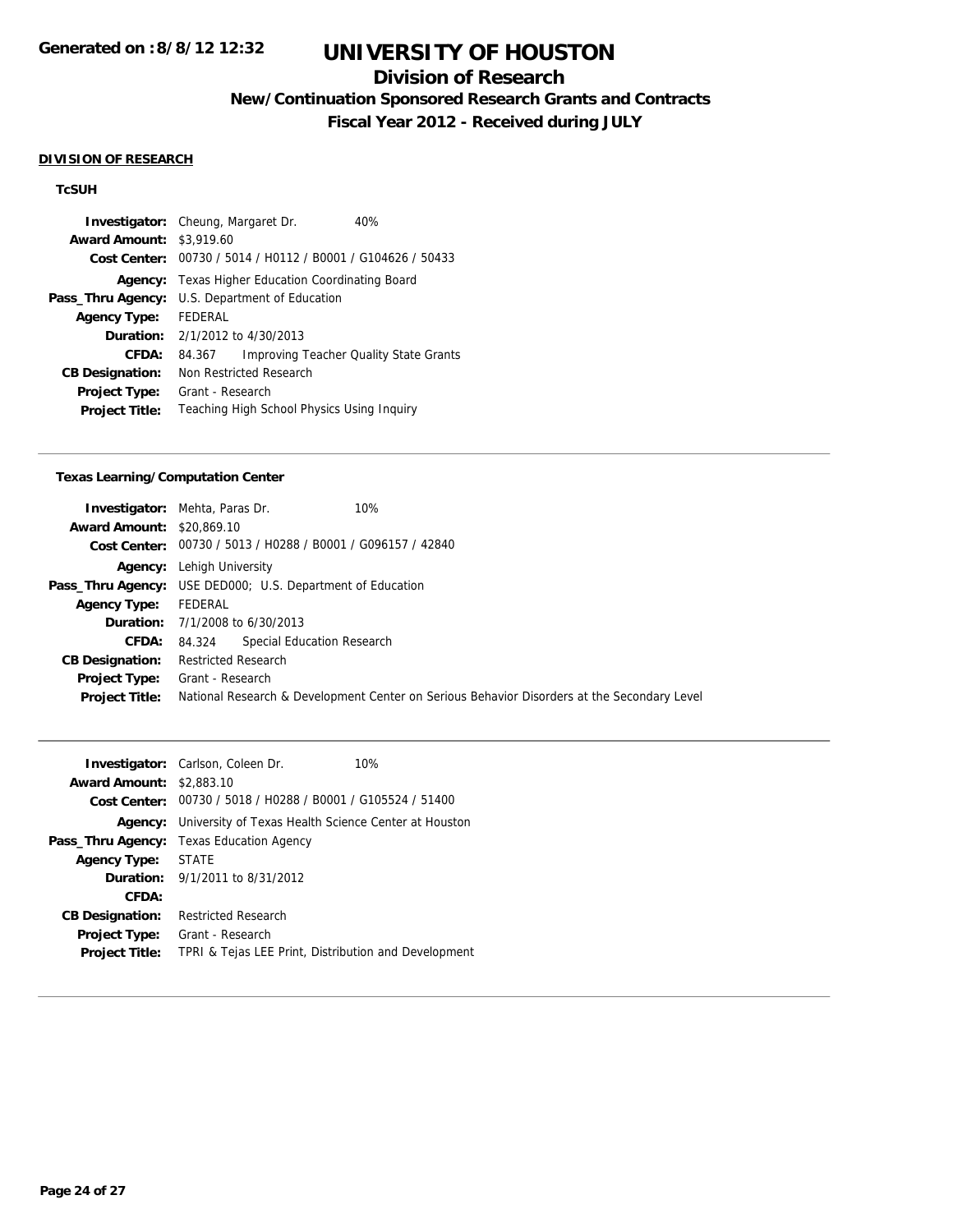## **Division of Research**

**New/Continuation Sponsored Research Grants and Contracts**

**Fiscal Year 2012 - Received during JULY**

### **DIVISION OF RESEARCH**

## **TcSUH**

|                        | <b>Investigator:</b> Cheung, Margaret Dr.        | 40%                                           |
|------------------------|--------------------------------------------------|-----------------------------------------------|
| <b>Award Amount:</b>   | \$3,919.60                                       |                                               |
| Cost Center:           | 00730 / 5014 / H0112 / B0001 / G104626 / 50433   |                                               |
| Agency:                | <b>Texas Higher Education Coordinating Board</b> |                                               |
| Pass_Thru Agency:      | U.S. Department of Education                     |                                               |
| <b>Agency Type:</b>    | FFDFRAI                                          |                                               |
|                        | <b>Duration:</b> 2/1/2012 to 4/30/2013           |                                               |
| CFDA:                  | 84.367                                           | <b>Improving Teacher Quality State Grants</b> |
| <b>CB Designation:</b> | Non Restricted Research                          |                                               |
| <b>Project Type:</b>   | Grant - Research                                 |                                               |
| <b>Project Title:</b>  | Teaching High School Physics Using Inguiry       |                                               |

#### **Texas Learning/Computation Center**

| <b>Award Amount: \$20,869.10</b> | <b>Investigator:</b> Mehta, Paras Dr.<br>10%<br>Cost Center: 00730 / 5013 / H0288 / B0001 / G096157 / 42840 |  |
|----------------------------------|-------------------------------------------------------------------------------------------------------------|--|
|                                  | <b>Agency:</b> Lehigh University                                                                            |  |
|                                  | <b>Pass_Thru Agency:</b> USE DED000; U.S. Department of Education                                           |  |
| <b>Agency Type:</b>              | FEDERAL                                                                                                     |  |
|                                  | <b>Duration:</b> 7/1/2008 to 6/30/2013                                                                      |  |
| <b>CFDA:</b>                     | Special Education Research<br>84.324                                                                        |  |
| <b>CB Designation:</b>           | <b>Restricted Research</b>                                                                                  |  |
| Project Type:                    | Grant - Research                                                                                            |  |
| <b>Project Title:</b>            | National Research & Development Center on Serious Behavior Disorders at the Secondary Level                 |  |

|                                 | <b>Investigator:</b> Carlson, Coleen Dr.<br>10%                     |
|---------------------------------|---------------------------------------------------------------------|
| <b>Award Amount: \$2,883.10</b> |                                                                     |
|                                 | Cost Center: 00730 / 5018 / H0288 / B0001 / G105524 / 51400         |
|                                 | <b>Agency:</b> University of Texas Health Science Center at Houston |
|                                 | <b>Pass_Thru Agency:</b> Texas Education Agency                     |
| <b>Agency Type:</b>             | <b>STATE</b>                                                        |
|                                 | <b>Duration:</b> 9/1/2011 to 8/31/2012                              |
| CFDA:                           |                                                                     |
| <b>CB Designation:</b>          | <b>Restricted Research</b>                                          |
| <b>Project Type:</b>            | Grant - Research                                                    |
| <b>Project Title:</b>           | TPRI & Tejas LEE Print, Distribution and Development                |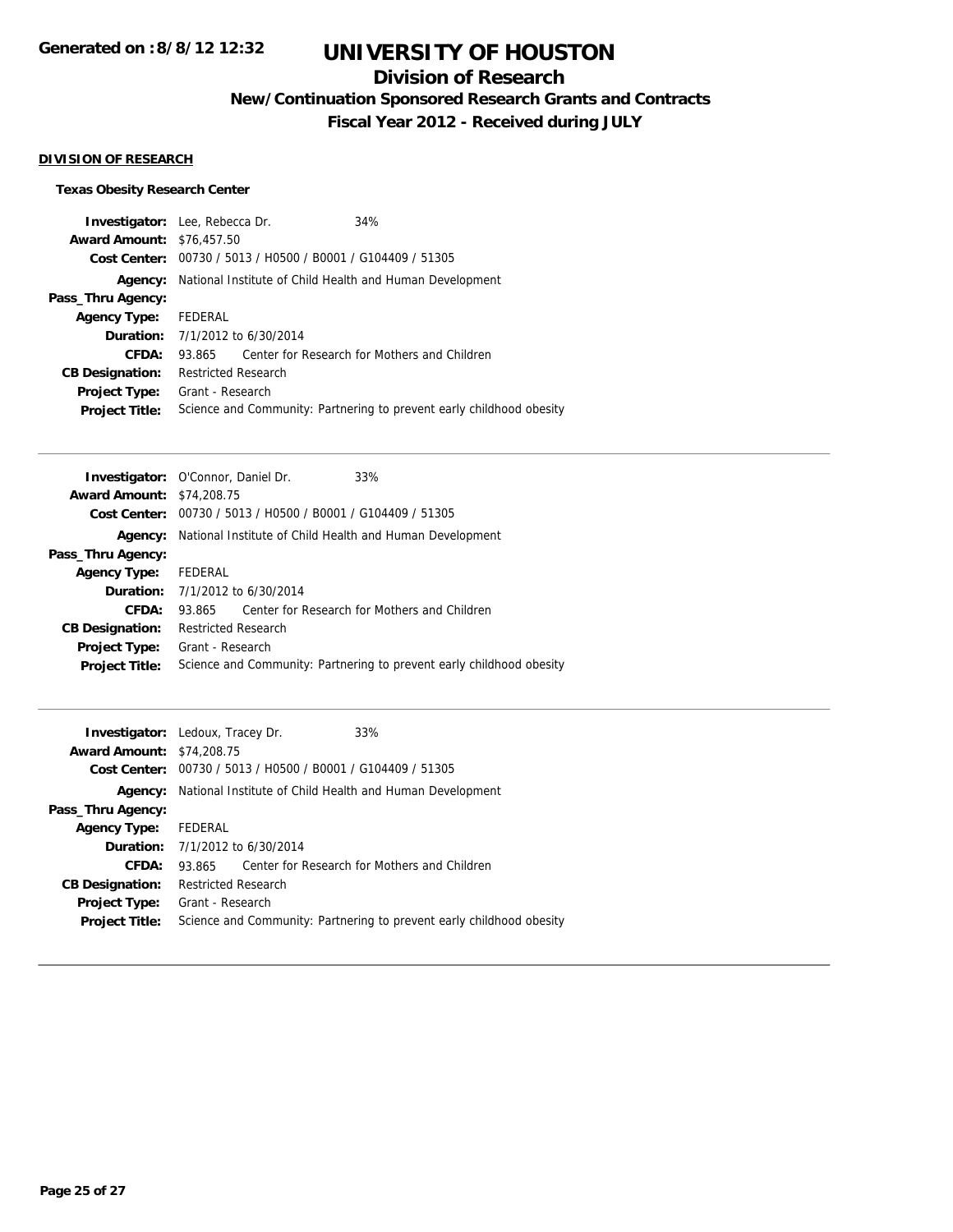## **Division of Research**

**New/Continuation Sponsored Research Grants and Contracts**

**Fiscal Year 2012 - Received during JULY**

## **DIVISION OF RESEARCH**

## **Texas Obesity Research Center**

| <b>Investigator:</b> Lee, Rebecca Dr.<br><b>Award Amount: \$76,457.50</b> |                            |                                                | 34%                                                                  |
|---------------------------------------------------------------------------|----------------------------|------------------------------------------------|----------------------------------------------------------------------|
| Cost Center:                                                              |                            | 00730 / 5013 / H0500 / B0001 / G104409 / 51305 |                                                                      |
| Agency:                                                                   |                            |                                                | National Institute of Child Health and Human Development             |
| Pass_Thru Agency:                                                         |                            |                                                |                                                                      |
| <b>Agency Type:</b>                                                       | FEDERAL                    |                                                |                                                                      |
|                                                                           |                            | <b>Duration:</b> 7/1/2012 to 6/30/2014         |                                                                      |
| CFDA:                                                                     | 93.865                     |                                                | Center for Research for Mothers and Children                         |
| <b>CB Designation:</b>                                                    | <b>Restricted Research</b> |                                                |                                                                      |
| <b>Project Type:</b><br><b>Project Title:</b>                             | Grant - Research           |                                                | Science and Community: Partnering to prevent early childhood obesity |

|                                  | <b>Investigator:</b> O'Connor, Daniel Dr.                            | 33%                                                                  |
|----------------------------------|----------------------------------------------------------------------|----------------------------------------------------------------------|
| <b>Award Amount: \$74,208.75</b> |                                                                      |                                                                      |
|                                  | <b>Cost Center:</b> $00730 / 5013 / 40500 / 80001 / 6104409 / 51305$ |                                                                      |
| Agency:                          | National Institute of Child Health and Human Development             |                                                                      |
| Pass_Thru Agency:                |                                                                      |                                                                      |
| <b>Agency Type:</b>              | FEDERAL                                                              |                                                                      |
|                                  | <b>Duration:</b> $7/1/2012$ to $6/30/2014$                           |                                                                      |
| CFDA:                            | 93.865                                                               | Center for Research for Mothers and Children                         |
| <b>CB Designation:</b>           | <b>Restricted Research</b>                                           |                                                                      |
| <b>Project Type:</b>             | Grant - Research                                                     |                                                                      |
| <b>Project Title:</b>            |                                                                      | Science and Community: Partnering to prevent early childhood obesity |
|                                  |                                                                      |                                                                      |

|                                  | <b>Investigator:</b> Ledoux, Tracey Dr.                     | 33%                                                                  |
|----------------------------------|-------------------------------------------------------------|----------------------------------------------------------------------|
| <b>Award Amount: \$74,208.75</b> |                                                             |                                                                      |
|                                  | Cost Center: 00730 / 5013 / H0500 / B0001 / G104409 / 51305 |                                                                      |
| Agency:                          | National Institute of Child Health and Human Development    |                                                                      |
| Pass_Thru Agency:                |                                                             |                                                                      |
| <b>Agency Type:</b>              | FEDERAL                                                     |                                                                      |
|                                  | <b>Duration:</b> 7/1/2012 to 6/30/2014                      |                                                                      |
| CFDA:                            | 93.865                                                      | Center for Research for Mothers and Children                         |
| <b>CB Designation:</b>           | <b>Restricted Research</b>                                  |                                                                      |
| <b>Project Type:</b>             | Grant - Research                                            |                                                                      |
| <b>Project Title:</b>            |                                                             | Science and Community: Partnering to prevent early childhood obesity |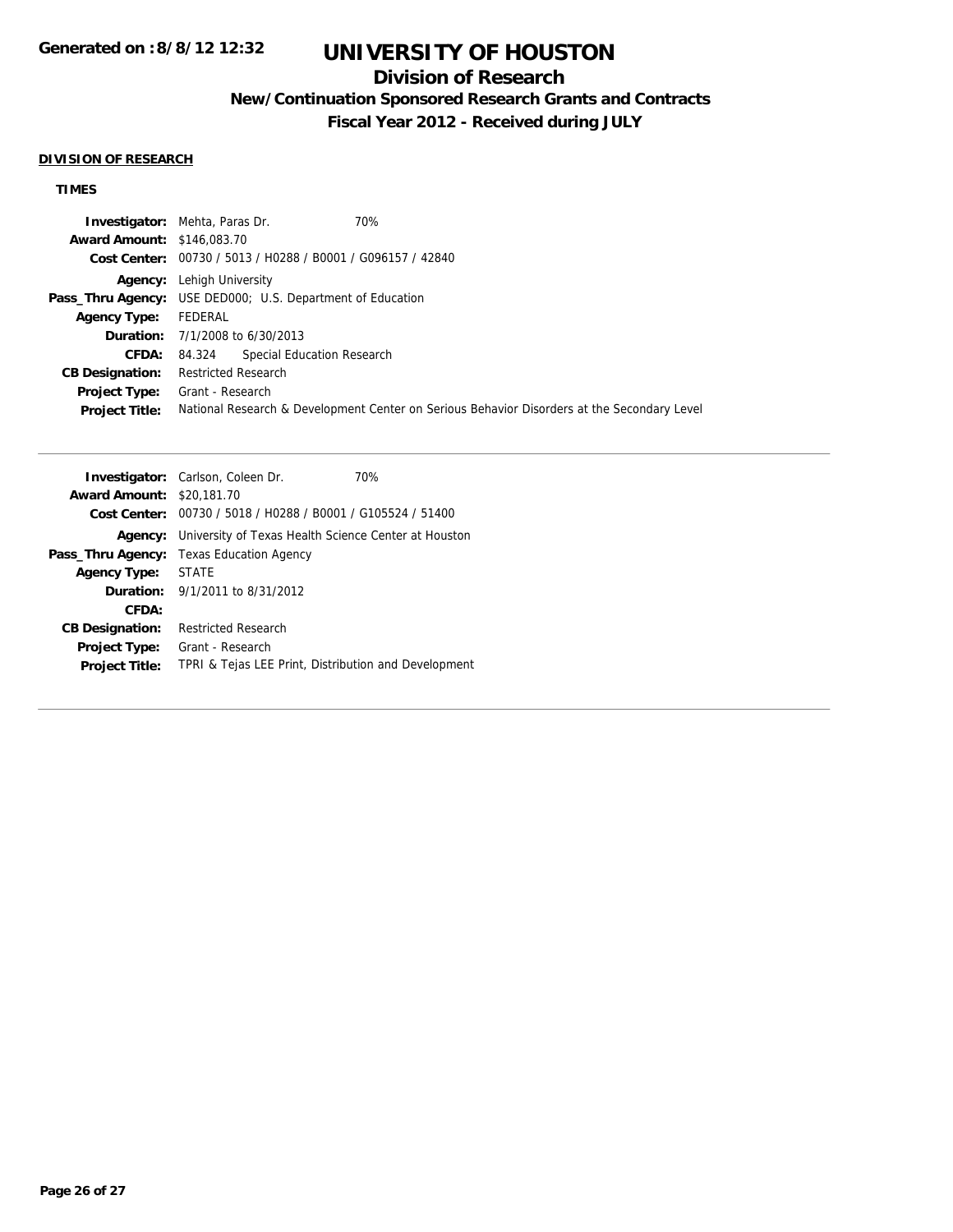## **Division of Research**

**New/Continuation Sponsored Research Grants and Contracts**

**Fiscal Year 2012 - Received during JULY**

#### **DIVISION OF RESEARCH**

## **TIMES**

|                                   | 70%<br><b>Investigator:</b> Mehta, Paras Dr.                                                |
|-----------------------------------|---------------------------------------------------------------------------------------------|
| <b>Award Amount: \$146,083.70</b> |                                                                                             |
|                                   | Cost Center: 00730 / 5013 / H0288 / B0001 / G096157 / 42840                                 |
|                                   | <b>Agency:</b> Lehigh University                                                            |
|                                   | <b>Pass_Thru Agency:</b> USE DED000; U.S. Department of Education                           |
| <b>Agency Type:</b>               | FEDERAL                                                                                     |
|                                   | <b>Duration:</b> $7/1/2008$ to $6/30/2013$                                                  |
|                                   | Special Education Research<br>CFDA: 84.324                                                  |
| <b>CB Designation:</b>            | Restricted Research                                                                         |
| <b>Project Type:</b>              | Grant - Research                                                                            |
| <b>Project Title:</b>             | National Research & Development Center on Serious Behavior Disorders at the Secondary Level |

|                                  | <b>Investigator:</b> Carlson, Coleen Dr.<br>70%             |
|----------------------------------|-------------------------------------------------------------|
| <b>Award Amount: \$20,181.70</b> |                                                             |
|                                  | Cost Center: 00730 / 5018 / H0288 / B0001 / G105524 / 51400 |
| Agency:                          | University of Texas Health Science Center at Houston        |
| Pass_Thru Agency:                | Texas Education Agency                                      |
| <b>Agency Type:</b>              | <b>STATE</b>                                                |
|                                  | <b>Duration:</b> $9/1/2011$ to $8/31/2012$                  |
| CFDA:                            |                                                             |
| <b>CB Designation:</b>           | Restricted Research                                         |
| <b>Project Type:</b>             | Grant - Research                                            |
| <b>Project Title:</b>            | TPRI & Tejas LEE Print, Distribution and Development        |